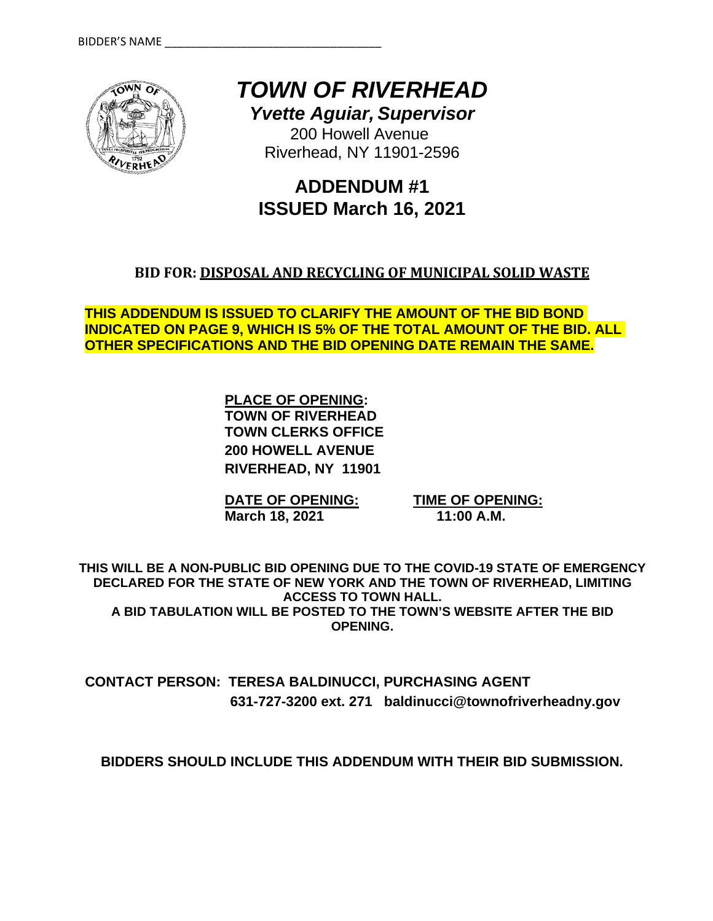

*TOWN OF RIVERHEAD*

*Yvette Aguiar, Supervisor* 200 Howell Avenue

Riverhead, NY 11901-2596

# **ADDENDUM #1 ISSUED March 16, 2021**

# **BID FOR: DISPOSAL AND RECYCLING OF MUNICIPAL SOLID WASTE**

**THIS ADDENDUM IS ISSUED TO CLARIFY THE AMOUNT OF THE BID BOND INDICATED ON PAGE 9, WHICH IS 5% OF THE TOTAL AMOUNT OF THE BID. ALL OTHER SPECIFICATIONS AND THE BID OPENING DATE REMAIN THE SAME.** 

> **PLACE OF OPENING: TOWN OF RIVERHEAD TOWN CLERKS OFFICE 200 HOWELL AVENUE RIVERHEAD, NY 11901**

**DATE OF OPENING: TIME OF OPENING: March 18, 2021 11:00 A.M.** 

**THIS WILL BE A NON-PUBLIC BID OPENING DUE TO THE COVID-19 STATE OF EMERGENCY DECLARED FOR THE STATE OF NEW YORK AND THE TOWN OF RIVERHEAD, LIMITING ACCESS TO TOWN HALL. A BID TABULATION WILL BE POSTED TO THE TOWN'S WEBSITE AFTER THE BID OPENING.**

**CONTACT PERSON: TERESA BALDINUCCI, PURCHASING AGENT 631-727-3200 ext. 271 baldinucci@townofriverheadny.gov** 

**BIDDERS SHOULD INCLUDE THIS ADDENDUM WITH THEIR BID SUBMISSION.**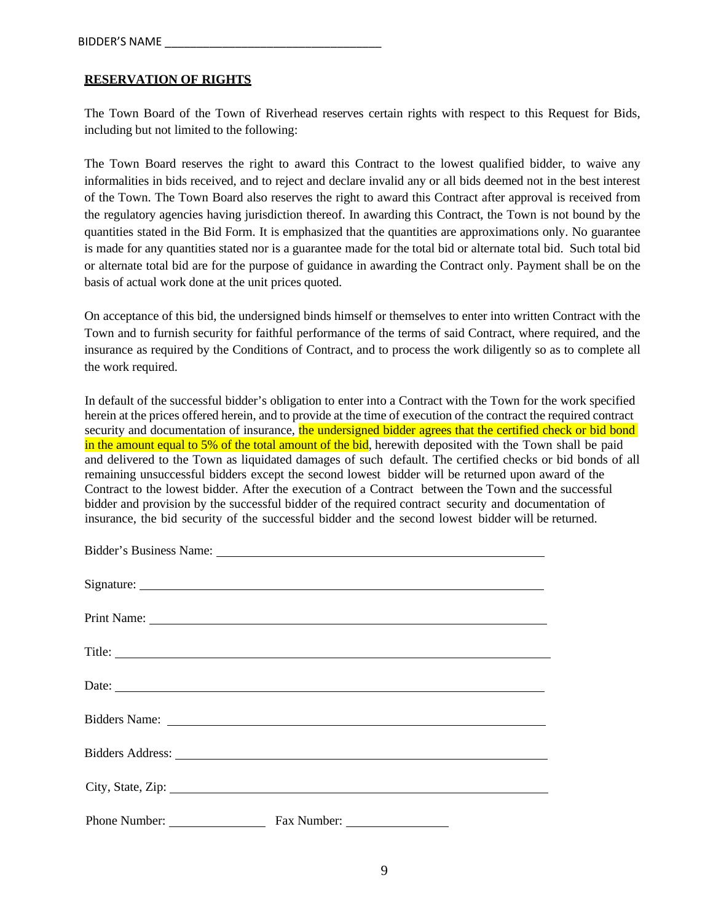#### **RESERVATION OF RIGHTS**

The Town Board of the Town of Riverhead reserves certain rights with respect to this Request for Bids, including but not limited to the following:

The Town Board reserves the right to award this Contract to the lowest qualified bidder, to waive any informalities in bids received, and to reject and declare invalid any or all bids deemed not in the best interest of the Town. The Town Board also reserves the right to award this Contract after approval is received from the regulatory agencies having jurisdiction thereof. In awarding this Contract, the Town is not bound by the quantities stated in the Bid Form. It is emphasized that the quantities are approximations only. No guarantee is made for any quantities stated nor is a guarantee made for the total bid or alternate total bid. Such total bid or alternate total bid are for the purpose of guidance in awarding the Contract only. Payment shall be on the basis of actual work done at the unit prices quoted.

On acceptance of this bid, the undersigned binds himself or themselves to enter into written Contract with the Town and to furnish security for faithful performance of the terms of said Contract, where required, and the insurance as required by the Conditions of Contract, and to process the work diligently so as to complete all the work required.

In default of the successful bidder's obligation to enter into a Contract with the Town for the work specified herein at the prices offered herein, and to provide at the time of execution of the contract the required contract security and documentation of insurance, the undersigned bidder agrees that the certified check or bid bond in the amount equal to 5% of the total amount of the bid, herewith deposited with the Town shall be paid and delivered to the Town as liquidated damages of such default. The certified checks or bid bonds of all remaining unsuccessful bidders except the second lowest bidder will be returned upon award of the Contract to the lowest bidder. After the execution of a Contract between the Town and the successful bidder and provision by the successful bidder of the required contract security and documentation of insurance, the bid security of the successful bidder and the second lowest bidder will be returned.

|                           | Bidder's Business Name: Lawrence and South American State and State and State and State and State and State and State and State and State and State and State and State and State and State and State and State and State and  |
|---------------------------|--------------------------------------------------------------------------------------------------------------------------------------------------------------------------------------------------------------------------------|
|                           |                                                                                                                                                                                                                                |
|                           |                                                                                                                                                                                                                                |
|                           | Title:                                                                                                                                                                                                                         |
|                           | Date:                                                                                                                                                                                                                          |
|                           | Bidders Name: Name: Name and South Assembly Name and South Assembly Name and South Assembly Name and South Assembly Name and South Assembly Name and South Assembly Name and Assembly Name and Assembly Name and Assembly Name |
|                           | Bidders Address: National Address: National Address: National Address: National Address: National Address: National Address: National Address: National Address: National Address: National Address: National Address: Nationa |
|                           | City, State, Zip:                                                                                                                                                                                                              |
| Phone Number: Fax Number: |                                                                                                                                                                                                                                |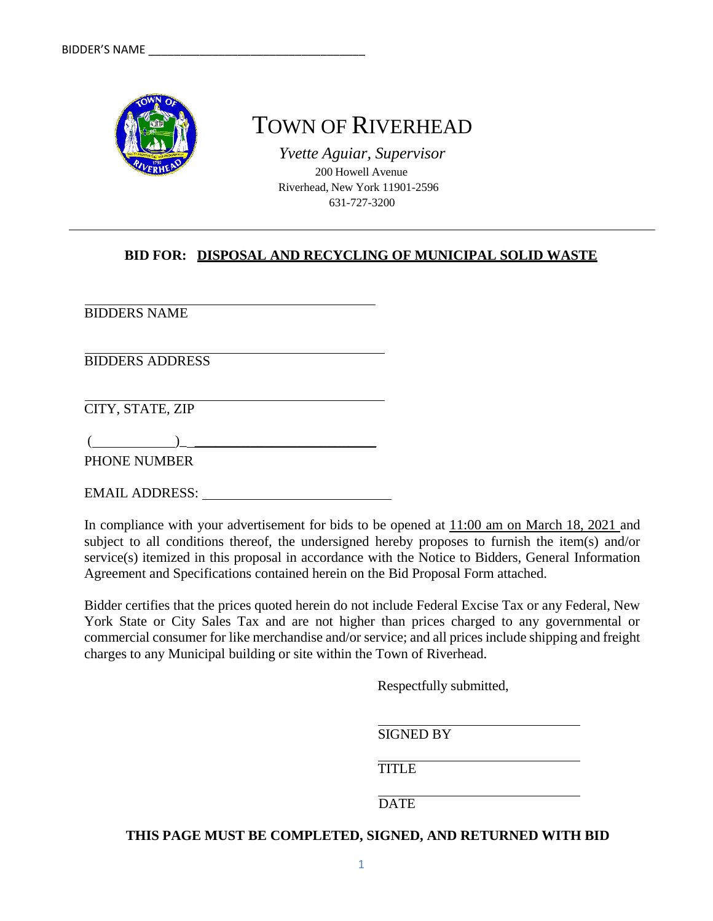

# TOWN OF RIVERHEAD

*Yvette Aguiar, Supervisor* 200 Howell Avenue Riverhead, New York 11901-2596 631-727-3200

# **BID FOR: DISPOSAL AND RECYCLING OF MUNICIPAL SOLID WASTE**

BIDDERS NAME

BIDDERS ADDRESS

CITY, STATE, ZIP

 $($   $)$ PHONE NUMBER

EMAIL ADDRESS:

In compliance with your advertisement for bids to be opened at 11:00 am on March 18, 2021 and subject to all conditions thereof, the undersigned hereby proposes to furnish the item(s) and/or service(s) itemized in this proposal in accordance with the Notice to Bidders, General Information Agreement and Specifications contained herein on the Bid Proposal Form attached.

Bidder certifies that the prices quoted herein do not include Federal Excise Tax or any Federal, New York State or City Sales Tax and are not higher than prices charged to any governmental or commercial consumer for like merchandise and/or service; and all prices include shipping and freight charges to any Municipal building or site within the Town of Riverhead.

Respectfully submitted,

SIGNED BY

TITLE

**DATE** 

**THIS PAGE MUST BE COMPLETED, SIGNED, AND RETURNED WITH BID**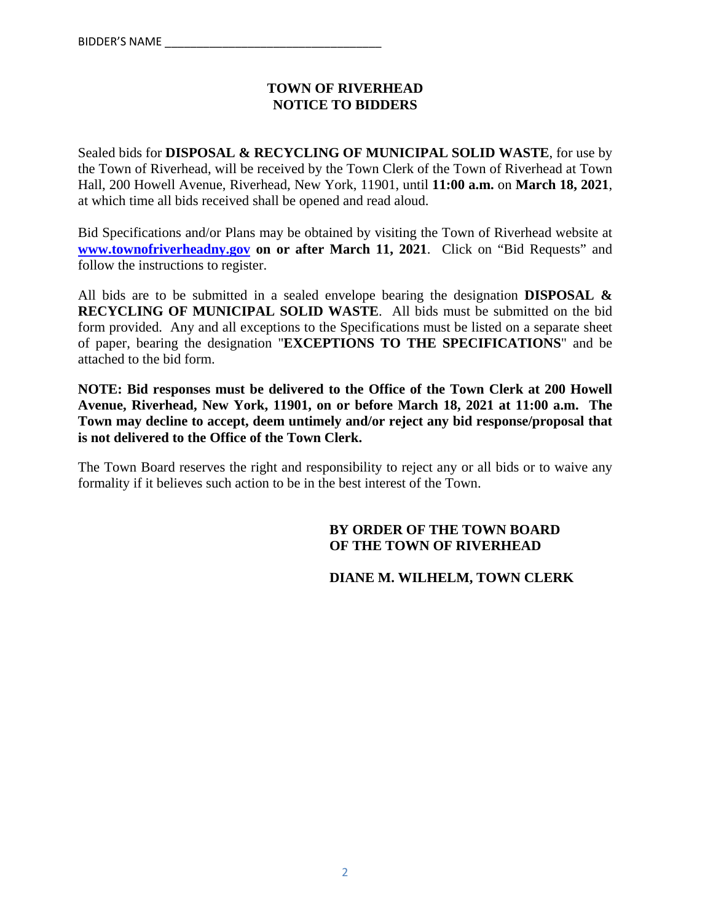## **TOWN OF RIVERHEAD NOTICE TO BIDDERS**

Sealed bids for **DISPOSAL & RECYCLING OF MUNICIPAL SOLID WASTE**, for use by the Town of Riverhead, will be received by the Town Clerk of the Town of Riverhead at Town Hall, 200 Howell Avenue, Riverhead, New York, 11901, until **11:00 a.m.** on **March 18, 2021**, at which time all bids received shall be opened and read aloud.

Bid Specifications and/or Plans may be obtained by visiting the Town of Riverhead website at **www.townofriverheadny.gov on or after March 11, 2021**. Click on "Bid Requests" and follow the instructions to register.

All bids are to be submitted in a sealed envelope bearing the designation **DISPOSAL & RECYCLING OF MUNICIPAL SOLID WASTE**. All bids must be submitted on the bid form provided. Any and all exceptions to the Specifications must be listed on a separate sheet of paper, bearing the designation "**EXCEPTIONS TO THE SPECIFICATIONS**" and be attached to the bid form.

**NOTE: Bid responses must be delivered to the Office of the Town Clerk at 200 Howell Avenue, Riverhead, New York, 11901, on or before March 18, 2021 at 11:00 a.m. The Town may decline to accept, deem untimely and/or reject any bid response/proposal that is not delivered to the Office of the Town Clerk.**

The Town Board reserves the right and responsibility to reject any or all bids or to waive any formality if it believes such action to be in the best interest of the Town.

#### **BY ORDER OF THE TOWN BOARD OF THE TOWN OF RIVERHEAD**

#### **DIANE M. WILHELM, TOWN CLERK**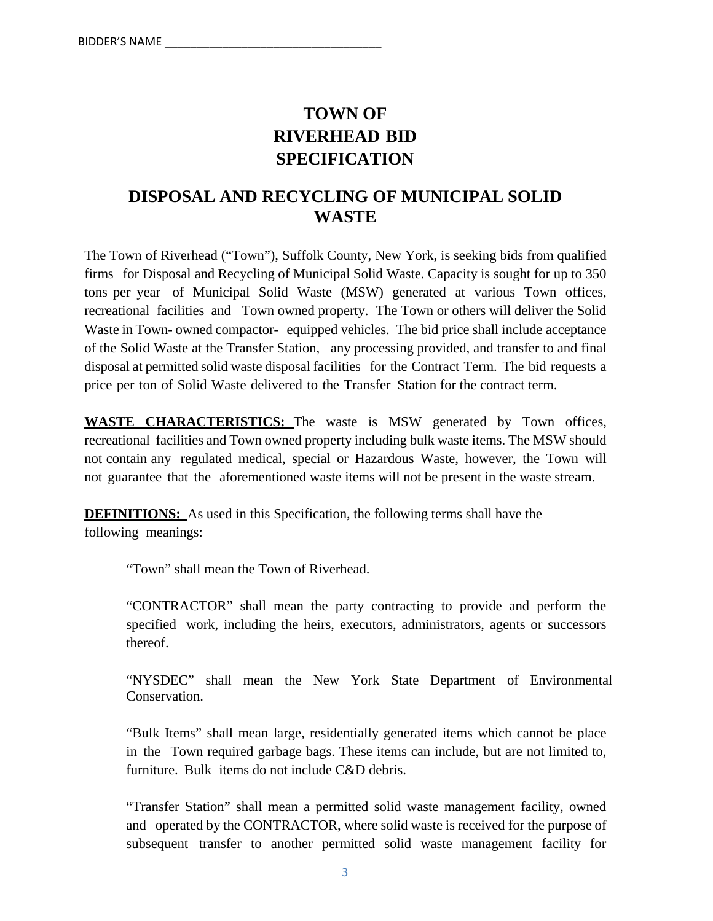# **TOWN OF RIVERHEAD BID SPECIFICATION**

# **DISPOSAL AND RECYCLING OF MUNICIPAL SOLID WASTE**

The Town of Riverhead ("Town"), Suffolk County, New York, is seeking bids from qualified firms for Disposal and Recycling of Municipal Solid Waste. Capacity is sought for up to 350 tons per year of Municipal Solid Waste (MSW) generated at various Town offices, recreational facilities and Town owned property. The Town or others will deliver the Solid Waste in Town- owned compactor- equipped vehicles. The bid price shall include acceptance of the Solid Waste at the Transfer Station, any processing provided, and transfer to and final disposal at permitted solid waste disposal facilities for the Contract Term. The bid requests a price per ton of Solid Waste delivered to the Transfer Station for the contract term.

**WASTE CHARACTERISTICS:** The waste is MSW generated by Town offices, recreational facilities and Town owned property including bulk waste items. The MSW should not contain any regulated medical, special or Hazardous Waste, however, the Town will not guarantee that the aforementioned waste items will not be present in the waste stream.

**DEFINITIONS:** As used in this Specification, the following terms shall have the following meanings:

"Town" shall mean the Town of Riverhead.

"CONTRACTOR" shall mean the party contracting to provide and perform the specified work, including the heirs, executors, administrators, agents or successors thereof.

"NYSDEC" shall mean the New York State Department of Environmental Conservation.

"Bulk Items" shall mean large, residentially generated items which cannot be place in the Town required garbage bags. These items can include, but are not limited to, furniture. Bulk items do not include C&D debris.

"Transfer Station" shall mean a permitted solid waste management facility, owned and operated by the CONTRACTOR, where solid waste is received for the purpose of subsequent transfer to another permitted solid waste management facility for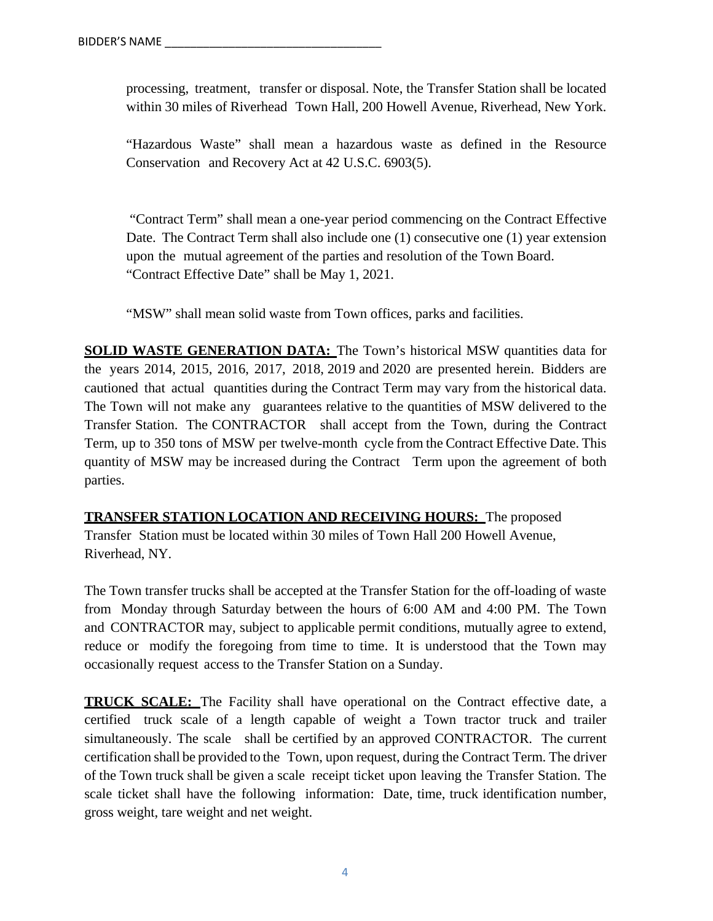processing, treatment, transfer or disposal. Note, the Transfer Station shall be located within 30 miles of Riverhead Town Hall, 200 Howell Avenue, Riverhead, New York.

"Hazardous Waste" shall mean a hazardous waste as defined in the Resource Conservation and Recovery Act at 42 U.S.C. 6903(5).

 "Contract Term" shall mean a one-year period commencing on the Contract Effective Date. The Contract Term shall also include one (1) consecutive one (1) year extension upon the mutual agreement of the parties and resolution of the Town Board. "Contract Effective Date" shall be May 1, 2021.

"MSW" shall mean solid waste from Town offices, parks and facilities.

**SOLID WASTE GENERATION DATA:** The Town's historical MSW quantities data for the years 2014, 2015, 2016, 2017, 2018, 2019 and 2020 are presented herein. Bidders are cautioned that actual quantities during the Contract Term may vary from the historical data. The Town will not make any guarantees relative to the quantities of MSW delivered to the Transfer Station. The CONTRACTOR shall accept from the Town, during the Contract Term, up to 350 tons of MSW per twelve-month cycle from the Contract Effective Date. This quantity of MSW may be increased during the Contract Term upon the agreement of both parties.

**TRANSFER STATION LOCATION AND RECEIVING HOURS:** The proposed Transfer Station must be located within 30 miles of Town Hall 200 Howell Avenue, Riverhead, NY.

The Town transfer trucks shall be accepted at the Transfer Station for the off-loading of waste from Monday through Saturday between the hours of 6:00 AM and 4:00 PM. The Town and CONTRACTOR may, subject to applicable permit conditions, mutually agree to extend, reduce or modify the foregoing from time to time. It is understood that the Town may occasionally request access to the Transfer Station on a Sunday.

**TRUCK SCALE:** The Facility shall have operational on the Contract effective date, a certified truck scale of a length capable of weight a Town tractor truck and trailer simultaneously. The scale shall be certified by an approved CONTRACTOR. The current certification shall be provided to the Town, upon request, during the Contract Term. The driver of the Town truck shall be given a scale receipt ticket upon leaving the Transfer Station. The scale ticket shall have the following information: Date, time, truck identification number, gross weight, tare weight and net weight.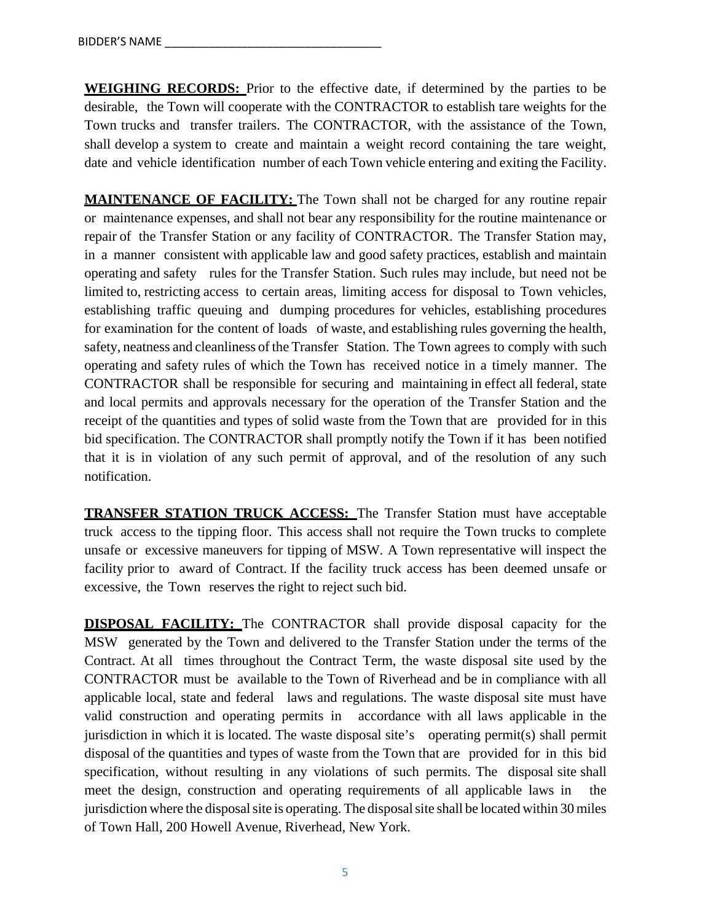**WEIGHING RECORDS:** Prior to the effective date, if determined by the parties to be desirable, the Town will cooperate with the CONTRACTOR to establish tare weights for the Town trucks and transfer trailers. The CONTRACTOR, with the assistance of the Town, shall develop a system to create and maintain a weight record containing the tare weight, date and vehicle identification number of each Town vehicle entering and exiting the Facility.

**MAINTENANCE OF FACILITY:** The Town shall not be charged for any routine repair or maintenance expenses, and shall not bear any responsibility for the routine maintenance or repair of the Transfer Station or any facility of CONTRACTOR. The Transfer Station may, in a manner consistent with applicable law and good safety practices, establish and maintain operating and safety rules for the Transfer Station. Such rules may include, but need not be limited to, restricting access to certain areas, limiting access for disposal to Town vehicles, establishing traffic queuing and dumping procedures for vehicles, establishing procedures for examination for the content of loads of waste, and establishing rules governing the health, safety, neatness and cleanliness of the Transfer Station. The Town agrees to comply with such operating and safety rules of which the Town has received notice in a timely manner. The CONTRACTOR shall be responsible for securing and maintaining in effect all federal, state and local permits and approvals necessary for the operation of the Transfer Station and the receipt of the quantities and types of solid waste from the Town that are provided for in this bid specification. The CONTRACTOR shall promptly notify the Town if it has been notified that it is in violation of any such permit of approval, and of the resolution of any such notification.

**TRANSFER STATION TRUCK ACCESS:** The Transfer Station must have acceptable truck access to the tipping floor. This access shall not require the Town trucks to complete unsafe or excessive maneuvers for tipping of MSW. A Town representative will inspect the facility prior to award of Contract. If the facility truck access has been deemed unsafe or excessive, the Town reserves the right to reject such bid.

**DISPOSAL FACILITY:** The CONTRACTOR shall provide disposal capacity for the MSW generated by the Town and delivered to the Transfer Station under the terms of the Contract. At all times throughout the Contract Term, the waste disposal site used by the CONTRACTOR must be available to the Town of Riverhead and be in compliance with all applicable local, state and federal laws and regulations. The waste disposal site must have valid construction and operating permits in accordance with all laws applicable in the jurisdiction in which it is located. The waste disposal site's operating permit(s) shall permit disposal of the quantities and types of waste from the Town that are provided for in this bid specification, without resulting in any violations of such permits. The disposal site shall meet the design, construction and operating requirements of all applicable laws in the jurisdiction where the disposal site is operating. The disposal site shall be located within 30 miles of Town Hall, 200 Howell Avenue, Riverhead, New York.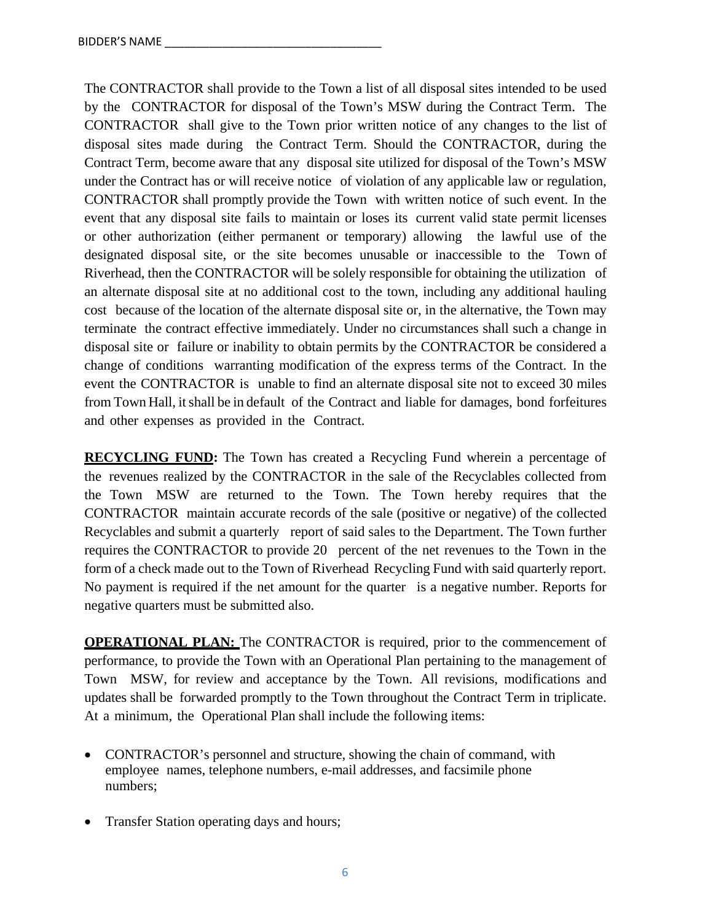The CONTRACTOR shall provide to the Town a list of all disposal sites intended to be used by the CONTRACTOR for disposal of the Town's MSW during the Contract Term. The CONTRACTOR shall give to the Town prior written notice of any changes to the list of disposal sites made during the Contract Term. Should the CONTRACTOR, during the Contract Term, become aware that any disposal site utilized for disposal of the Town's MSW under the Contract has or will receive notice of violation of any applicable law or regulation, CONTRACTOR shall promptly provide the Town with written notice of such event. In the event that any disposal site fails to maintain or loses its current valid state permit licenses or other authorization (either permanent or temporary) allowing the lawful use of the designated disposal site, or the site becomes unusable or inaccessible to the Town of Riverhead, then the CONTRACTOR will be solely responsible for obtaining the utilization of an alternate disposal site at no additional cost to the town, including any additional hauling cost because of the location of the alternate disposal site or, in the alternative, the Town may terminate the contract effective immediately. Under no circumstances shall such a change in disposal site or failure or inability to obtain permits by the CONTRACTOR be considered a change of conditions warranting modification of the express terms of the Contract. In the event the CONTRACTOR is unable to find an alternate disposal site not to exceed 30 miles from Town Hall, it shall be in default of the Contract and liable for damages, bond forfeitures and other expenses as provided in the Contract.

**RECYCLING FUND:** The Town has created a Recycling Fund wherein a percentage of the revenues realized by the CONTRACTOR in the sale of the Recyclables collected from the Town MSW are returned to the Town. The Town hereby requires that the CONTRACTOR maintain accurate records of the sale (positive or negative) of the collected Recyclables and submit a quarterly report of said sales to the Department. The Town further requires the CONTRACTOR to provide 20 percent of the net revenues to the Town in the form of a check made out to the Town of Riverhead Recycling Fund with said quarterly report. No payment is required if the net amount for the quarter is a negative number. Reports for negative quarters must be submitted also.

**OPERATIONAL PLAN:** The CONTRACTOR is required, prior to the commencement of performance, to provide the Town with an Operational Plan pertaining to the management of Town MSW, for review and acceptance by the Town. All revisions, modifications and updates shall be forwarded promptly to the Town throughout the Contract Term in triplicate. At a minimum, the Operational Plan shall include the following items:

- CONTRACTOR's personnel and structure, showing the chain of command, with employee names, telephone numbers, e-mail addresses, and facsimile phone numbers;
- Transfer Station operating days and hours;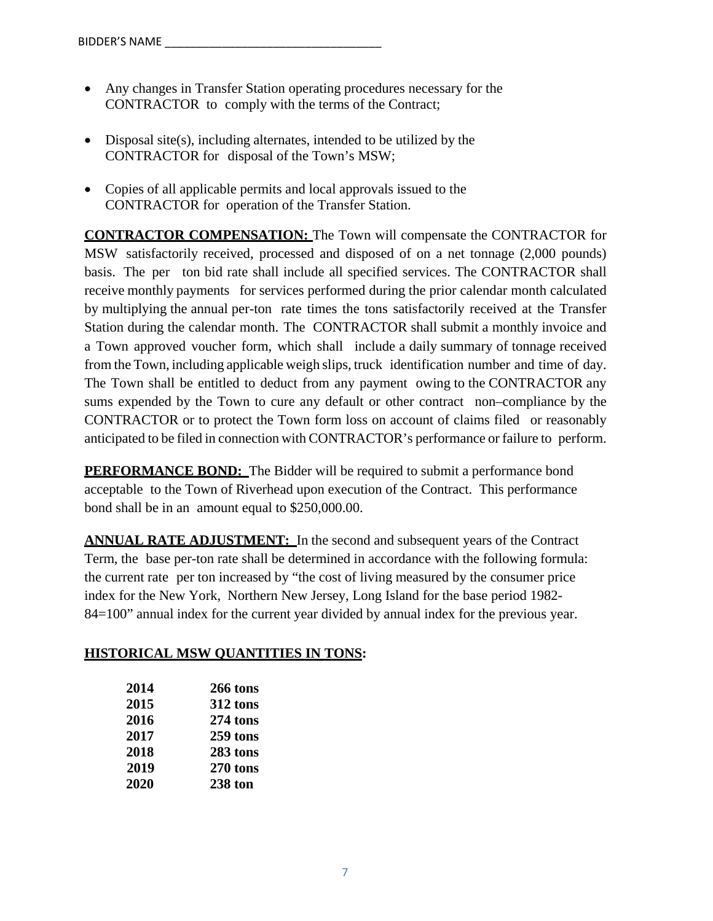- Any changes in Transfer Station operating procedures necessary for the CONTRACTOR to comply with the terms of the Contract;
- Disposal site(s), including alternates, intended to be utilized by the CONTRACTOR for disposal of the Town's MSW;
- Copies of all applicable permits and local approvals issued to the CONTRACTOR for operation of the Transfer Station.

**CONTRACTOR COMPENSATION:** The Town will compensate the CONTRACTOR for MSW satisfactorily received, processed and disposed of on a net tonnage (2,000 pounds) basis. The per ton bid rate shall include all specified services. The CONTRACTOR shall receive monthly payments for services performed during the prior calendar month calculated by multiplying the annual per-ton rate times the tons satisfactorily received at the Transfer Station during the calendar month. The CONTRACTOR shall submit a monthly invoice and a Town approved voucher form, which shall include a daily summary of tonnage received from the Town, including applicable weigh slips, truck identification number and time of day. The Town shall be entitled to deduct from any payment owing to the CONTRACTOR any sums expended by the Town to cure any default or other contract non–compliance by the CONTRACTOR or to protect the Town form loss on account of claims filed or reasonably anticipated to be filed in connection with CONTRACTOR's performance or failure to perform.

**PERFORMANCE BOND:** The Bidder will be required to submit a performance bond acceptable to the Town of Riverhead upon execution of the Contract. This performance bond shall be in an amount equal to \$250,000.00.

**ANNUAL RATE ADJUSTMENT:** In the second and subsequent years of the Contract Term, the base per-ton rate shall be determined in accordance with the following formula: the current rate per ton increased by "the cost of living measured by the consumer price index for the New York, Northern New Jersey, Long Island for the base period 1982- 84=100" annual index for the current year divided by annual index for the previous year.

# **HISTORICAL MSW QUANTITIES IN TONS:**

| 2014 | 266 tons       |
|------|----------------|
| 2015 | 312 tons       |
| 2016 | $274$ tons     |
| 2017 | 259 tons       |
| 2018 | 283 tons       |
| 2019 | 270 tons       |
| 2020 | <b>238 ton</b> |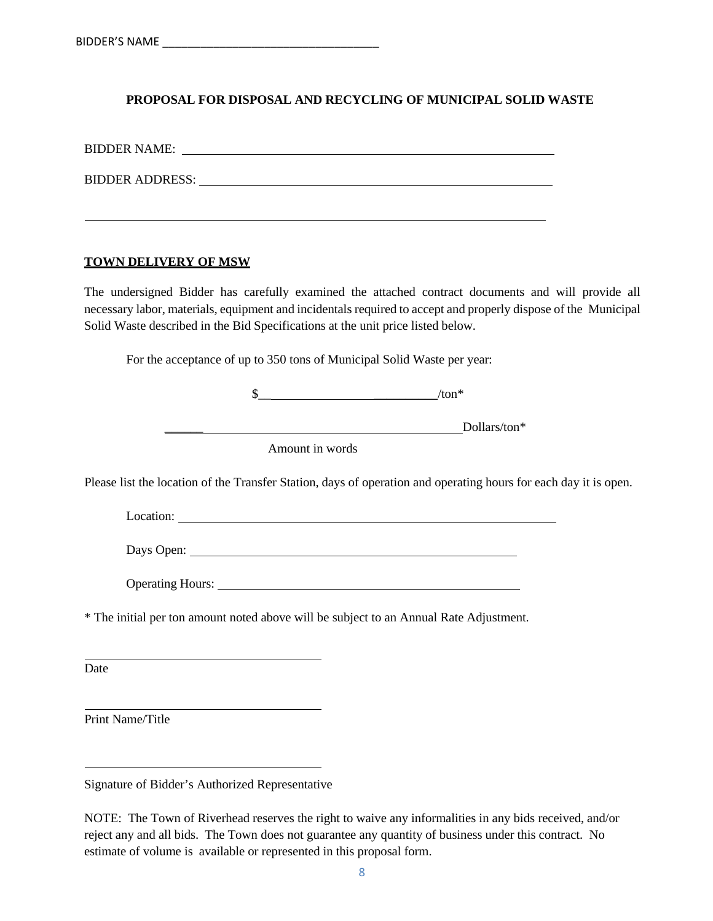# **PROPOSAL FOR DISPOSAL AND RECYCLING OF MUNICIPAL SOLID WASTE**

BIDDER NAME:

BIDDER ADDRESS:

#### **TOWN DELIVERY OF MSW**

The undersigned Bidder has carefully examined the attached contract documents and will provide all necessary labor, materials, equipment and incidentals required to accept and properly dispose of the Municipal Solid Waste described in the Bid Specifications at the unit price listed below.

For the acceptance of up to 350 tons of Municipal Solid Waste per year:

| Lυ | $/ton*$ |              |
|----|---------|--------------|
|    |         | Dollars/ton* |

Amount in words

Please list the location of the Transfer Station, days of operation and operating hours for each day it is open.

Location:

Days Open:

Operating Hours:

\* The initial per ton amount noted above will be subject to an Annual Rate Adjustment.

Date

Print Name/Title

Signature of Bidder's Authorized Representative

NOTE: The Town of Riverhead reserves the right to waive any informalities in any bids received, and/or reject any and all bids. The Town does not guarantee any quantity of business under this contract. No estimate of volume is available or represented in this proposal form.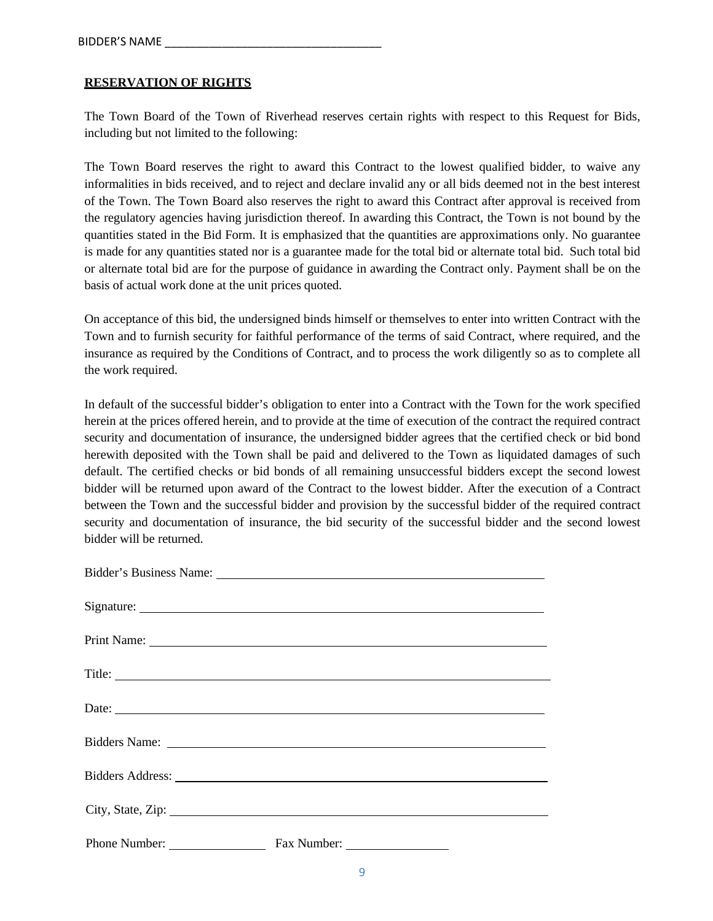#### **RESERVATION OF RIGHTS**

The Town Board of the Town of Riverhead reserves certain rights with respect to this Request for Bids, including but not limited to the following:

The Town Board reserves the right to award this Contract to the lowest qualified bidder, to waive any informalities in bids received, and to reject and declare invalid any or all bids deemed not in the best interest of the Town. The Town Board also reserves the right to award this Contract after approval is received from the regulatory agencies having jurisdiction thereof. In awarding this Contract, the Town is not bound by the quantities stated in the Bid Form. It is emphasized that the quantities are approximations only. No guarantee is made for any quantities stated nor is a guarantee made for the total bid or alternate total bid. Such total bid or alternate total bid are for the purpose of guidance in awarding the Contract only. Payment shall be on the basis of actual work done at the unit prices quoted.

On acceptance of this bid, the undersigned binds himself or themselves to enter into written Contract with the Town and to furnish security for faithful performance of the terms of said Contract, where required, and the insurance as required by the Conditions of Contract, and to process the work diligently so as to complete all the work required.

In default of the successful bidder's obligation to enter into a Contract with the Town for the work specified herein at the prices offered herein, and to provide at the time of execution of the contract the required contract security and documentation of insurance, the undersigned bidder agrees that the certified check or bid bond herewith deposited with the Town shall be paid and delivered to the Town as liquidated damages of such default. The certified checks or bid bonds of all remaining unsuccessful bidders except the second lowest bidder will be returned upon award of the Contract to the lowest bidder. After the execution of a Contract between the Town and the successful bidder and provision by the successful bidder of the required contract security and documentation of insurance, the bid security of the successful bidder and the second lowest bidder will be returned.

|               | Title:                                                                                                                                                                                                                         |
|---------------|--------------------------------------------------------------------------------------------------------------------------------------------------------------------------------------------------------------------------------|
|               | Date:                                                                                                                                                                                                                          |
|               |                                                                                                                                                                                                                                |
|               | Bidders Address: National Address: National Address: National Address: National Address: National Address: National Address: National Address: National Address: National Address: National Address: National Address: Nationa |
|               |                                                                                                                                                                                                                                |
| Phone Number: |                                                                                                                                                                                                                                |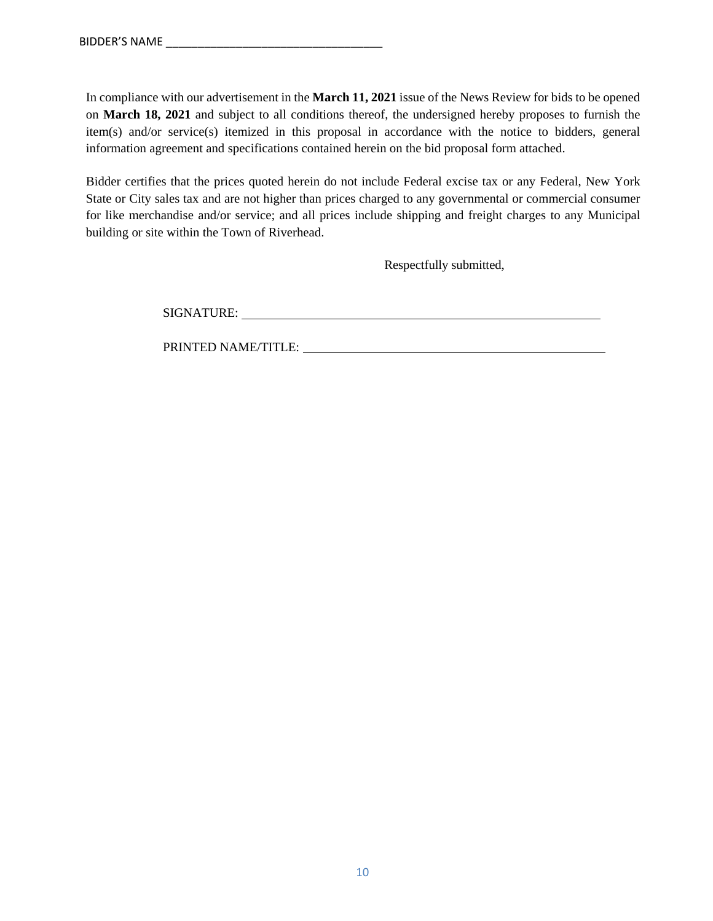In compliance with our advertisement in the **March 11, 2021** issue of the News Review for bids to be opened on **March 18, 2021** and subject to all conditions thereof, the undersigned hereby proposes to furnish the item(s) and/or service(s) itemized in this proposal in accordance with the notice to bidders, general information agreement and specifications contained herein on the bid proposal form attached.

Bidder certifies that the prices quoted herein do not include Federal excise tax or any Federal, New York State or City sales tax and are not higher than prices charged to any governmental or commercial consumer for like merchandise and/or service; and all prices include shipping and freight charges to any Municipal building or site within the Town of Riverhead.

Respectfully submitted,

SIGNATURE:

PRINTED NAME/TITLE: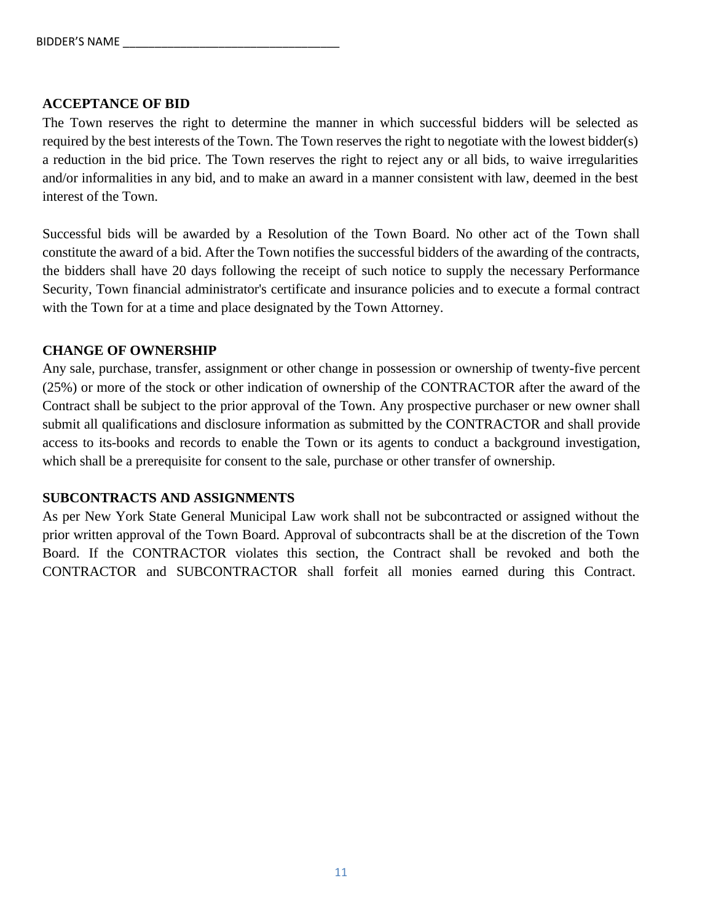# **ACCEPTANCE OF BID**

The Town reserves the right to determine the manner in which successful bidders will be selected as required by the best interests of the Town. The Town reserves the right to negotiate with the lowest bidder(s) a reduction in the bid price. The Town reserves the right to reject any or all bids, to waive irregularities and/or informalities in any bid, and to make an award in a manner consistent with law, deemed in the best interest of the Town.

Successful bids will be awarded by a Resolution of the Town Board. No other act of the Town shall constitute the award of a bid. After the Town notifies the successful bidders of the awarding of the contracts, the bidders shall have 20 days following the receipt of such notice to supply the necessary Performance Security, Town financial administrator's certificate and insurance policies and to execute a formal contract with the Town for at a time and place designated by the Town Attorney.

# **CHANGE OF OWNERSHIP**

Any sale, purchase, transfer, assignment or other change in possession or ownership of twenty-five percent (25%) or more of the stock or other indication of ownership of the CONTRACTOR after the award of the Contract shall be subject to the prior approval of the Town. Any prospective purchaser or new owner shall submit all qualifications and disclosure information as submitted by the CONTRACTOR and shall provide access to its-books and records to enable the Town or its agents to conduct a background investigation, which shall be a prerequisite for consent to the sale, purchase or other transfer of ownership.

# **SUBCONTRACTS AND ASSIGNMENTS**

As per New York State General Municipal Law work shall not be subcontracted or assigned without the prior written approval of the Town Board. Approval of subcontracts shall be at the discretion of the Town Board. If the CONTRACTOR violates this section, the Contract shall be revoked and both the CONTRACTOR and SUBCONTRACTOR shall forfeit all monies earned during this Contract.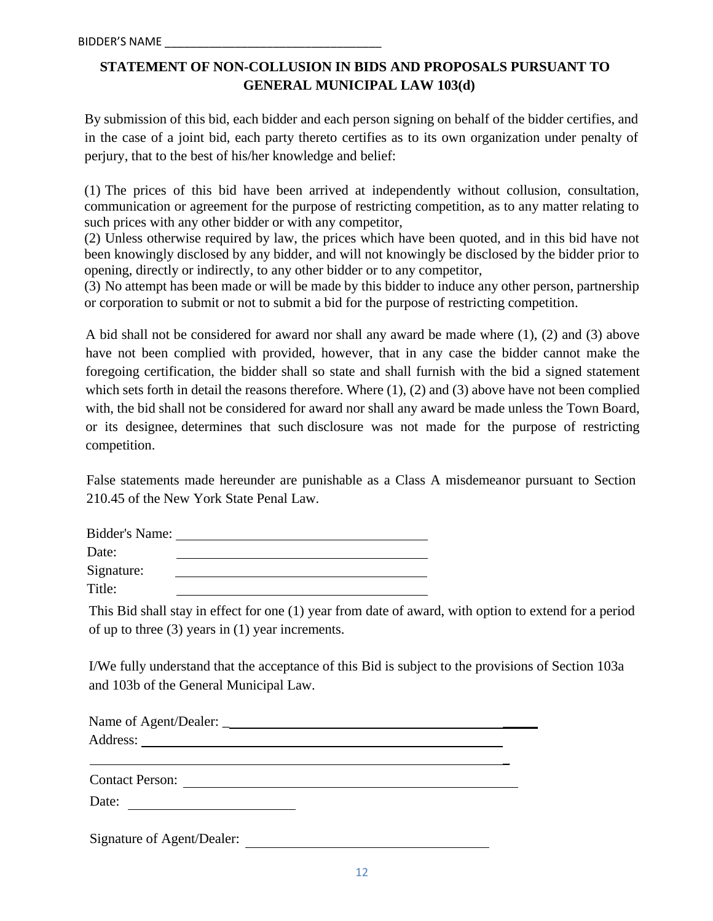# **STATEMENT OF NON-COLLUSION IN BIDS AND PROPOSALS PURSUANT TO GENERAL MUNICIPAL LAW 103(d)**

By submission of this bid, each bidder and each person signing on behalf of the bidder certifies, and in the case of a joint bid, each party thereto certifies as to its own organization under penalty of perjury, that to the best of his/her knowledge and belief:

(1) The prices of this bid have been arrived at independently without collusion, consultation, communication or agreement for the purpose of restricting competition, as to any matter relating to such prices with any other bidder or with any competitor,

(2) Unless otherwise required by law, the prices which have been quoted, and in this bid have not been knowingly disclosed by any bidder, and will not knowingly be disclosed by the bidder prior to opening, directly or indirectly, to any other bidder or to any competitor,

(3) No attempt has been made or will be made by this bidder to induce any other person, partnership or corporation to submit or not to submit a bid for the purpose of restricting competition.

A bid shall not be considered for award nor shall any award be made where (1), (2) and (3) above have not been complied with provided, however, that in any case the bidder cannot make the foregoing certification, the bidder shall so state and shall furnish with the bid a signed statement which sets forth in detail the reasons therefore. Where (1), (2) and (3) above have not been complied with, the bid shall not be considered for award nor shall any award be made unless the Town Board, or its designee, determines that such disclosure was not made for the purpose of restricting competition.

False statements made hereunder are punishable as a Class A misdemeanor pursuant to Section 210.45 of the New York State Penal Law.

| Bidder's Name: |  |
|----------------|--|
| Date:          |  |
| Signature:     |  |
| Title:         |  |

This Bid shall stay in effect for one (1) year from date of award, with option to extend for a period of up to three (3) years in (1) year increments.

I/We fully understand that the acceptance of this Bid is subject to the provisions of Section 103a and 103b of the General Municipal Law.

| Contact Person:<br>Date:   |  |
|----------------------------|--|
| Signature of Agent/Dealer: |  |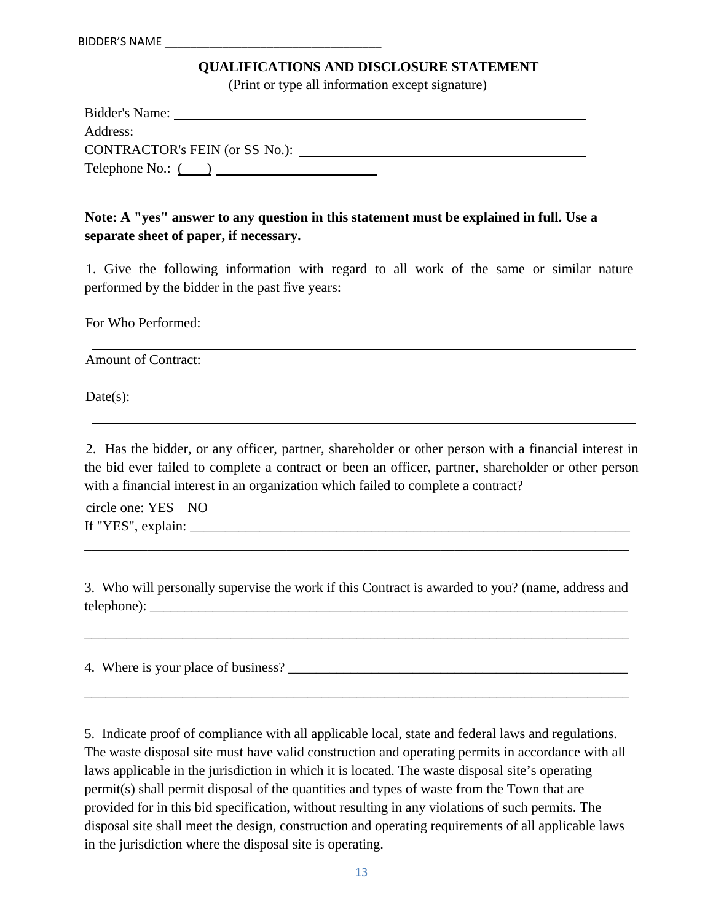#### **QUALIFICATIONS AND DISCLOSURE STATEMENT**

(Print or type all information except signature)

| Bidder's Name:                 |
|--------------------------------|
| Address:                       |
| CONTRACTOR's FEIN (or SS No.): |
| Telephone No.: $($             |

# **Note: A "yes" answer to any question in this statement must be explained in full. Use a separate sheet of paper, if necessary.**

1. Give the following information with regard to all work of the same or similar nature performed by the bidder in the past five years:

For Who Performed:

Amount of Contract:

 $Date(s)$ :

2. Has the bidder, or any officer, partner, shareholder or other person with a financial interest in the bid ever failed to complete a contract or been an officer, partner, shareholder or other person with a financial interest in an organization which failed to complete a contract?

circle one: YES NO If "YES", explain:

3. Who will personally supervise the work if this Contract is awarded to you? (name, address and telephone):

\_\_\_\_\_\_\_\_\_\_\_\_\_\_\_\_\_\_\_\_\_\_\_\_\_\_\_\_\_\_\_\_\_\_\_\_\_\_\_\_\_\_\_\_\_\_\_\_\_\_\_\_\_\_\_\_\_\_\_\_\_\_\_\_\_\_\_\_\_\_\_\_\_\_\_\_\_\_

\_\_\_\_\_\_\_\_\_\_\_\_\_\_\_\_\_\_\_\_\_\_\_\_\_\_\_\_\_\_\_\_\_\_\_\_\_\_\_\_\_\_\_\_\_\_\_\_\_\_\_\_\_\_\_\_\_\_\_\_\_\_\_\_\_\_\_\_\_\_\_\_\_\_\_\_\_\_

\_\_\_\_\_\_\_\_\_\_\_\_\_\_\_\_\_\_\_\_\_\_\_\_\_\_\_\_\_\_\_\_\_\_\_\_\_\_\_\_\_\_\_\_\_\_\_\_\_\_\_\_\_\_\_\_\_\_\_\_\_\_\_\_\_\_\_\_\_\_\_\_\_\_\_\_\_\_

4. Where is your place of business?

5. Indicate proof of compliance with all applicable local, state and federal laws and regulations. The waste disposal site must have valid construction and operating permits in accordance with all laws applicable in the jurisdiction in which it is located. The waste disposal site's operating permit(s) shall permit disposal of the quantities and types of waste from the Town that are provided for in this bid specification, without resulting in any violations of such permits. The disposal site shall meet the design, construction and operating requirements of all applicable laws in the jurisdiction where the disposal site is operating.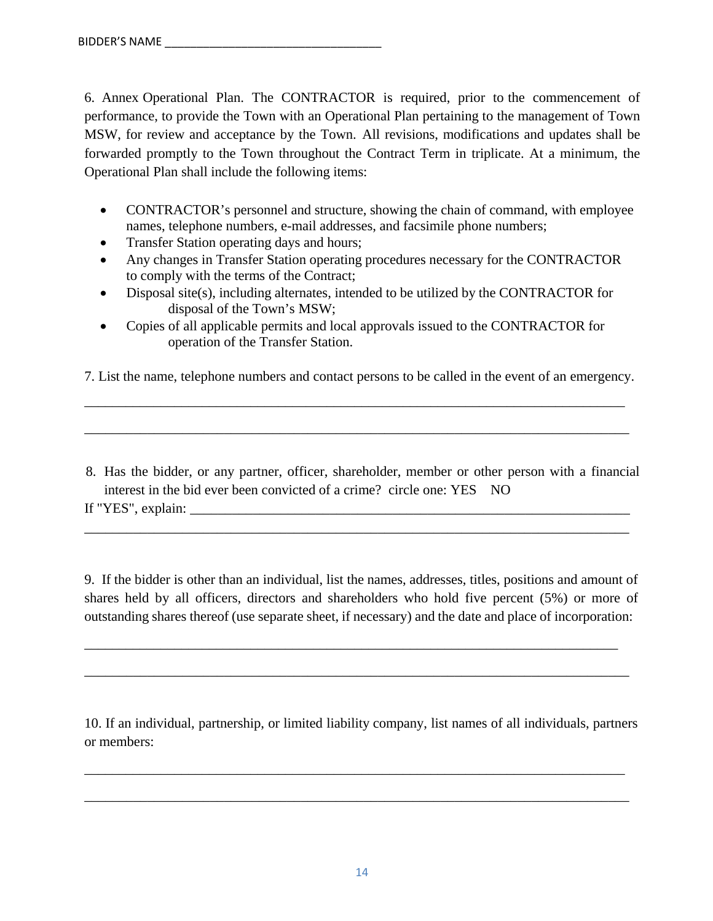6. Annex Operational Plan. The CONTRACTOR is required, prior to the commencement of performance, to provide the Town with an Operational Plan pertaining to the management of Town MSW, for review and acceptance by the Town. All revisions, modifications and updates shall be forwarded promptly to the Town throughout the Contract Term in triplicate. At a minimum, the Operational Plan shall include the following items:

- CONTRACTOR's personnel and structure, showing the chain of command, with employee names, telephone numbers, e-mail addresses, and facsimile phone numbers;
- Transfer Station operating days and hours;
- Any changes in Transfer Station operating procedures necessary for the CONTRACTOR to comply with the terms of the Contract;
- Disposal site(s), including alternates, intended to be utilized by the CONTRACTOR for disposal of the Town's MSW;
- Copies of all applicable permits and local approvals issued to the CONTRACTOR for operation of the Transfer Station.

7. List the name, telephone numbers and contact persons to be called in the event of an emergency.

\_\_\_\_\_\_\_\_\_\_\_\_\_\_\_\_\_\_\_\_\_\_\_\_\_\_\_\_\_\_\_\_\_\_\_\_\_\_\_\_\_\_\_\_\_\_\_\_\_\_\_\_\_\_\_\_\_\_\_\_\_\_\_\_\_\_\_\_\_\_\_\_\_\_\_\_\_\_

\_\_\_\_\_\_\_\_\_\_\_\_\_\_\_\_\_\_\_\_\_\_\_\_\_\_\_\_\_\_\_\_\_\_\_\_\_\_\_\_\_\_\_\_\_\_\_\_\_\_\_\_\_\_\_\_\_\_\_\_\_\_\_\_\_\_\_\_\_\_\_\_\_\_\_\_\_\_

8. Has the bidder, or any partner, officer, shareholder, member or other person with a financial interest in the bid ever been convicted of a crime? circle one: YES NO

\_\_\_\_\_\_\_\_\_\_\_\_\_\_\_\_\_\_\_\_\_\_\_\_\_\_\_\_\_\_\_\_\_\_\_\_\_\_\_\_\_\_\_\_\_\_\_\_\_\_\_\_\_\_\_\_\_\_\_\_\_\_\_\_\_\_\_\_\_\_\_\_\_\_\_\_\_\_

9. If the bidder is other than an individual, list the names, addresses, titles, positions and amount of shares held by all officers, directors and shareholders who hold five percent (5%) or more of outstanding shares thereof (use separate sheet, if necessary) and the date and place of incorporation:

\_\_\_\_\_\_\_\_\_\_\_\_\_\_\_\_\_\_\_\_\_\_\_\_\_\_\_\_\_\_\_\_\_\_\_\_\_\_\_\_\_\_\_\_\_\_\_\_\_\_\_\_\_\_\_\_\_\_\_\_\_\_\_\_\_\_\_\_\_\_\_\_\_\_\_\_\_

\_\_\_\_\_\_\_\_\_\_\_\_\_\_\_\_\_\_\_\_\_\_\_\_\_\_\_\_\_\_\_\_\_\_\_\_\_\_\_\_\_\_\_\_\_\_\_\_\_\_\_\_\_\_\_\_\_\_\_\_\_\_\_\_\_\_\_\_\_\_\_\_\_\_\_\_\_\_

10. If an individual, partnership, or limited liability company, list names of all individuals, partners or members:

\_\_\_\_\_\_\_\_\_\_\_\_\_\_\_\_\_\_\_\_\_\_\_\_\_\_\_\_\_\_\_\_\_\_\_\_\_\_\_\_\_\_\_\_\_\_\_\_\_\_\_\_\_\_\_\_\_\_\_\_\_\_\_\_\_\_\_\_\_\_\_\_\_\_\_\_\_\_

\_\_\_\_\_\_\_\_\_\_\_\_\_\_\_\_\_\_\_\_\_\_\_\_\_\_\_\_\_\_\_\_\_\_\_\_\_\_\_\_\_\_\_\_\_\_\_\_\_\_\_\_\_\_\_\_\_\_\_\_\_\_\_\_\_\_\_\_\_\_\_\_\_\_\_\_\_\_

If "YES", explain: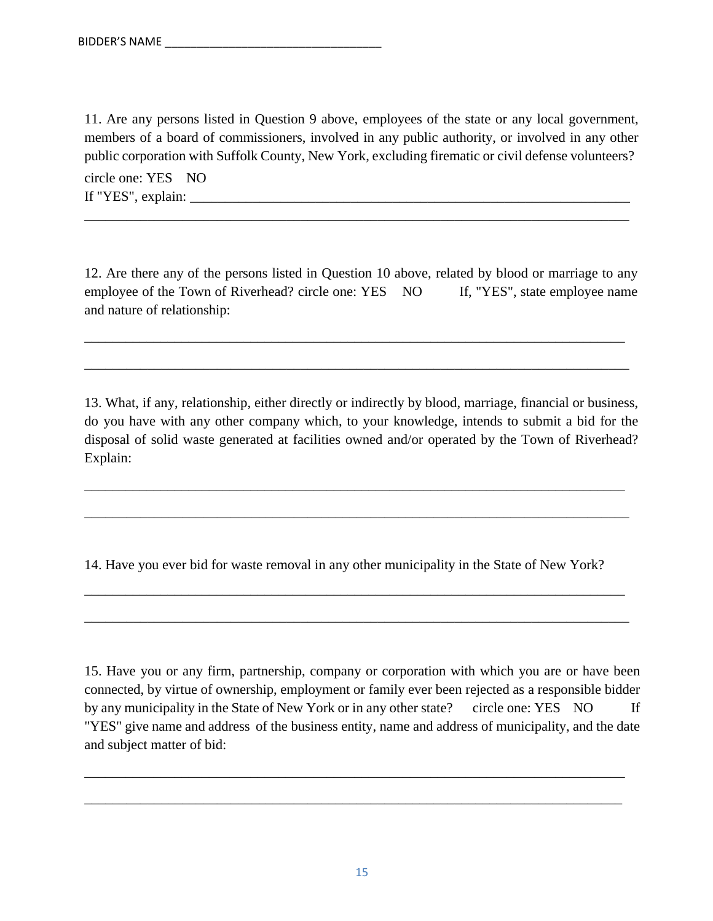11. Are any persons listed in Question 9 above, employees of the state or any local government, members of a board of commissioners, involved in any public authority, or involved in any other public corporation with Suffolk County, New York, excluding firematic or civil defense volunteers?

\_\_\_\_\_\_\_\_\_\_\_\_\_\_\_\_\_\_\_\_\_\_\_\_\_\_\_\_\_\_\_\_\_\_\_\_\_\_\_\_\_\_\_\_\_\_\_\_\_\_\_\_\_\_\_\_\_\_\_\_\_\_\_\_\_\_\_\_\_\_\_\_\_\_\_\_\_\_

circle one: YES NO If "YES", explain: \_\_\_\_\_\_\_\_\_\_\_\_\_\_\_\_\_\_\_\_\_\_\_\_\_\_\_\_\_\_\_\_\_\_\_\_\_\_\_\_\_\_\_\_\_\_\_\_\_\_\_\_\_\_\_\_\_\_\_\_\_\_\_

12. Are there any of the persons listed in Question 10 above, related by blood or marriage to any employee of the Town of Riverhead? circle one: YES NO If, "YES", state employee name and nature of relationship:

\_\_\_\_\_\_\_\_\_\_\_\_\_\_\_\_\_\_\_\_\_\_\_\_\_\_\_\_\_\_\_\_\_\_\_\_\_\_\_\_\_\_\_\_\_\_\_\_\_\_\_\_\_\_\_\_\_\_\_\_\_\_\_\_\_\_\_\_\_\_\_\_\_\_\_\_\_\_

\_\_\_\_\_\_\_\_\_\_\_\_\_\_\_\_\_\_\_\_\_\_\_\_\_\_\_\_\_\_\_\_\_\_\_\_\_\_\_\_\_\_\_\_\_\_\_\_\_\_\_\_\_\_\_\_\_\_\_\_\_\_\_\_\_\_\_\_\_\_\_\_\_\_\_\_\_\_

13. What, if any, relationship, either directly or indirectly by blood, marriage, financial or business, do you have with any other company which, to your knowledge, intends to submit a bid for the disposal of solid waste generated at facilities owned and/or operated by the Town of Riverhead? Explain:

\_\_\_\_\_\_\_\_\_\_\_\_\_\_\_\_\_\_\_\_\_\_\_\_\_\_\_\_\_\_\_\_\_\_\_\_\_\_\_\_\_\_\_\_\_\_\_\_\_\_\_\_\_\_\_\_\_\_\_\_\_\_\_\_\_\_\_\_\_\_\_\_\_\_\_\_\_\_

\_\_\_\_\_\_\_\_\_\_\_\_\_\_\_\_\_\_\_\_\_\_\_\_\_\_\_\_\_\_\_\_\_\_\_\_\_\_\_\_\_\_\_\_\_\_\_\_\_\_\_\_\_\_\_\_\_\_\_\_\_\_\_\_\_\_\_\_\_\_\_\_\_\_\_\_\_\_

14. Have you ever bid for waste removal in any other municipality in the State of New York?

\_\_\_\_\_\_\_\_\_\_\_\_\_\_\_\_\_\_\_\_\_\_\_\_\_\_\_\_\_\_\_\_\_\_\_\_\_\_\_\_\_\_\_\_\_\_\_\_\_\_\_\_\_\_\_\_\_\_\_\_\_\_\_\_\_\_\_\_\_\_\_\_\_\_\_\_\_\_

\_\_\_\_\_\_\_\_\_\_\_\_\_\_\_\_\_\_\_\_\_\_\_\_\_\_\_\_\_\_\_\_\_\_\_\_\_\_\_\_\_\_\_\_\_\_\_\_\_\_\_\_\_\_\_\_\_\_\_\_\_\_\_\_\_\_\_\_\_\_\_\_\_\_\_\_\_\_

15. Have you or any firm, partnership, company or corporation with which you are or have been connected, by virtue of ownership, employment or family ever been rejected as a responsible bidder by any municipality in the State of New York or in any other state? circle one: YES NO If "YES" give name and address of the business entity, name and address of municipality, and the date and subject matter of bid:

\_\_\_\_\_\_\_\_\_\_\_\_\_\_\_\_\_\_\_\_\_\_\_\_\_\_\_\_\_\_\_\_\_\_\_\_\_\_\_\_\_\_\_\_\_\_\_\_\_\_\_\_\_\_\_\_\_\_\_\_\_\_\_\_\_\_\_\_\_\_\_\_\_\_\_\_\_\_

\_\_\_\_\_\_\_\_\_\_\_\_\_\_\_\_\_\_\_\_\_\_\_\_\_\_\_\_\_\_\_\_\_\_\_\_\_\_\_\_\_\_\_\_\_\_\_\_\_\_\_\_\_\_\_\_\_\_\_\_\_\_\_\_\_\_\_\_\_\_\_\_\_\_\_\_\_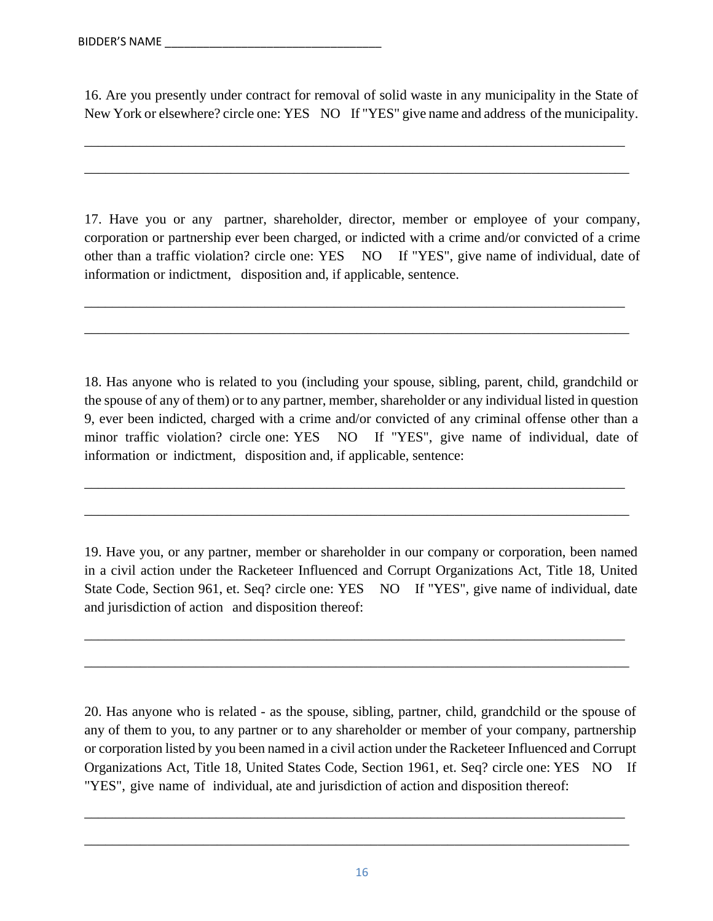16. Are you presently under contract for removal of solid waste in any municipality in the State of New York or elsewhere? circle one: YES NO If "YES" give name and address of the municipality.

\_\_\_\_\_\_\_\_\_\_\_\_\_\_\_\_\_\_\_\_\_\_\_\_\_\_\_\_\_\_\_\_\_\_\_\_\_\_\_\_\_\_\_\_\_\_\_\_\_\_\_\_\_\_\_\_\_\_\_\_\_\_\_\_\_\_\_\_\_\_\_\_\_\_\_\_\_\_

\_\_\_\_\_\_\_\_\_\_\_\_\_\_\_\_\_\_\_\_\_\_\_\_\_\_\_\_\_\_\_\_\_\_\_\_\_\_\_\_\_\_\_\_\_\_\_\_\_\_\_\_\_\_\_\_\_\_\_\_\_\_\_\_\_\_\_\_\_\_\_\_\_\_\_\_\_\_

17. Have you or any partner, shareholder, director, member or employee of your company, corporation or partnership ever been charged, or indicted with a crime and/or convicted of a crime other than a traffic violation? circle one: YES NO If "YES", give name of individual, date of information or indictment, disposition and, if applicable, sentence.

\_\_\_\_\_\_\_\_\_\_\_\_\_\_\_\_\_\_\_\_\_\_\_\_\_\_\_\_\_\_\_\_\_\_\_\_\_\_\_\_\_\_\_\_\_\_\_\_\_\_\_\_\_\_\_\_\_\_\_\_\_\_\_\_\_\_\_\_\_\_\_\_\_\_\_\_\_\_

\_\_\_\_\_\_\_\_\_\_\_\_\_\_\_\_\_\_\_\_\_\_\_\_\_\_\_\_\_\_\_\_\_\_\_\_\_\_\_\_\_\_\_\_\_\_\_\_\_\_\_\_\_\_\_\_\_\_\_\_\_\_\_\_\_\_\_\_\_\_\_\_\_\_\_\_\_\_

18. Has anyone who is related to you (including your spouse, sibling, parent, child, grandchild or the spouse of any of them) or to any partner, member, shareholder or any individual listed in question 9, ever been indicted, charged with a crime and/or convicted of any criminal offense other than a minor traffic violation? circle one: YES NO If "YES", give name of individual, date of information or indictment, disposition and, if applicable, sentence:

\_\_\_\_\_\_\_\_\_\_\_\_\_\_\_\_\_\_\_\_\_\_\_\_\_\_\_\_\_\_\_\_\_\_\_\_\_\_\_\_\_\_\_\_\_\_\_\_\_\_\_\_\_\_\_\_\_\_\_\_\_\_\_\_\_\_\_\_\_\_\_\_\_\_\_\_\_\_

\_\_\_\_\_\_\_\_\_\_\_\_\_\_\_\_\_\_\_\_\_\_\_\_\_\_\_\_\_\_\_\_\_\_\_\_\_\_\_\_\_\_\_\_\_\_\_\_\_\_\_\_\_\_\_\_\_\_\_\_\_\_\_\_\_\_\_\_\_\_\_\_\_\_\_\_\_\_

19. Have you, or any partner, member or shareholder in our company or corporation, been named in a civil action under the Racketeer Influenced and Corrupt Organizations Act, Title 18, United State Code, Section 961, et. Seq? circle one: YES NO If "YES", give name of individual, date and jurisdiction of action and disposition thereof:

\_\_\_\_\_\_\_\_\_\_\_\_\_\_\_\_\_\_\_\_\_\_\_\_\_\_\_\_\_\_\_\_\_\_\_\_\_\_\_\_\_\_\_\_\_\_\_\_\_\_\_\_\_\_\_\_\_\_\_\_\_\_\_\_\_\_\_\_\_\_\_\_\_\_\_\_\_\_

\_\_\_\_\_\_\_\_\_\_\_\_\_\_\_\_\_\_\_\_\_\_\_\_\_\_\_\_\_\_\_\_\_\_\_\_\_\_\_\_\_\_\_\_\_\_\_\_\_\_\_\_\_\_\_\_\_\_\_\_\_\_\_\_\_\_\_\_\_\_\_\_\_\_\_\_\_\_

20. Has anyone who is related - as the spouse, sibling, partner, child, grandchild or the spouse of any of them to you, to any partner or to any shareholder or member of your company, partnership or corporation listed by you been named in a civil action under the Racketeer Influenced and Corrupt Organizations Act, Title 18, United States Code, Section 1961, et. Seq? circle one: YES NO If "YES", give name of individual, ate and jurisdiction of action and disposition thereof:

\_\_\_\_\_\_\_\_\_\_\_\_\_\_\_\_\_\_\_\_\_\_\_\_\_\_\_\_\_\_\_\_\_\_\_\_\_\_\_\_\_\_\_\_\_\_\_\_\_\_\_\_\_\_\_\_\_\_\_\_\_\_\_\_\_\_\_\_\_\_\_\_\_\_\_\_\_\_

\_\_\_\_\_\_\_\_\_\_\_\_\_\_\_\_\_\_\_\_\_\_\_\_\_\_\_\_\_\_\_\_\_\_\_\_\_\_\_\_\_\_\_\_\_\_\_\_\_\_\_\_\_\_\_\_\_\_\_\_\_\_\_\_\_\_\_\_\_\_\_\_\_\_\_\_\_\_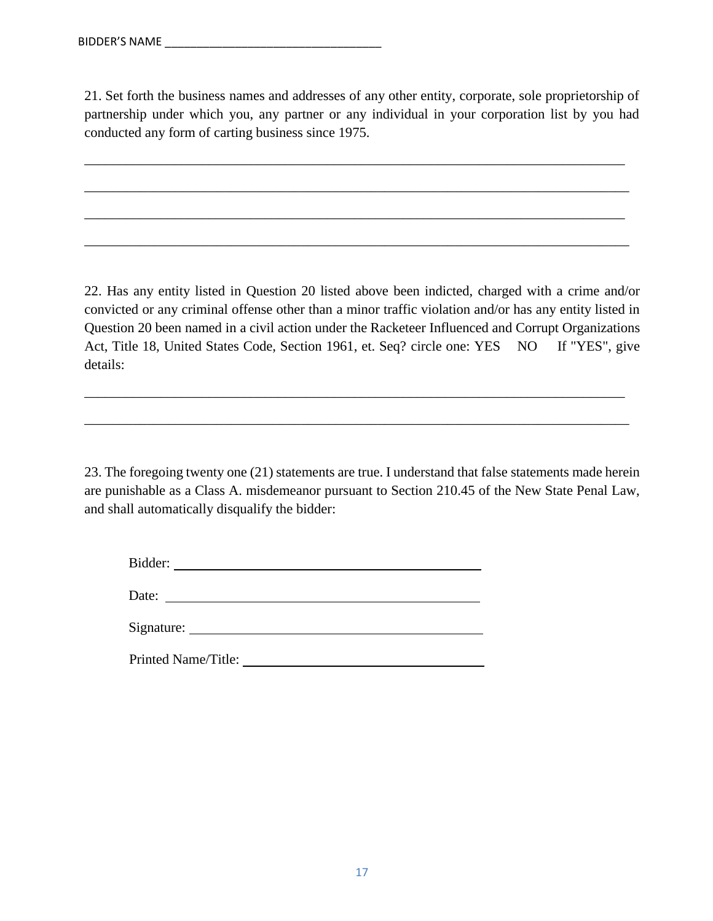21. Set forth the business names and addresses of any other entity, corporate, sole proprietorship of partnership under which you, any partner or any individual in your corporation list by you had conducted any form of carting business since 1975.

\_\_\_\_\_\_\_\_\_\_\_\_\_\_\_\_\_\_\_\_\_\_\_\_\_\_\_\_\_\_\_\_\_\_\_\_\_\_\_\_\_\_\_\_\_\_\_\_\_\_\_\_\_\_\_\_\_\_\_\_\_\_\_\_\_\_\_\_\_\_\_\_\_\_\_\_\_\_

\_\_\_\_\_\_\_\_\_\_\_\_\_\_\_\_\_\_\_\_\_\_\_\_\_\_\_\_\_\_\_\_\_\_\_\_\_\_\_\_\_\_\_\_\_\_\_\_\_\_\_\_\_\_\_\_\_\_\_\_\_\_\_\_\_\_\_\_\_\_\_\_\_\_\_\_\_\_

\_\_\_\_\_\_\_\_\_\_\_\_\_\_\_\_\_\_\_\_\_\_\_\_\_\_\_\_\_\_\_\_\_\_\_\_\_\_\_\_\_\_\_\_\_\_\_\_\_\_\_\_\_\_\_\_\_\_\_\_\_\_\_\_\_\_\_\_\_\_\_\_\_\_\_\_\_\_

\_\_\_\_\_\_\_\_\_\_\_\_\_\_\_\_\_\_\_\_\_\_\_\_\_\_\_\_\_\_\_\_\_\_\_\_\_\_\_\_\_\_\_\_\_\_\_\_\_\_\_\_\_\_\_\_\_\_\_\_\_\_\_\_\_\_\_\_\_\_\_\_\_\_\_\_\_\_

22. Has any entity listed in Question 20 listed above been indicted, charged with a crime and/or convicted or any criminal offense other than a minor traffic violation and/or has any entity listed in Question 20 been named in a civil action under the Racketeer Influenced and Corrupt Organizations Act, Title 18, United States Code, Section 1961, et. Seq? circle one: YES NO If "YES", give details:

\_\_\_\_\_\_\_\_\_\_\_\_\_\_\_\_\_\_\_\_\_\_\_\_\_\_\_\_\_\_\_\_\_\_\_\_\_\_\_\_\_\_\_\_\_\_\_\_\_\_\_\_\_\_\_\_\_\_\_\_\_\_\_\_\_\_\_\_\_\_\_\_\_\_\_\_\_\_

\_\_\_\_\_\_\_\_\_\_\_\_\_\_\_\_\_\_\_\_\_\_\_\_\_\_\_\_\_\_\_\_\_\_\_\_\_\_\_\_\_\_\_\_\_\_\_\_\_\_\_\_\_\_\_\_\_\_\_\_\_\_\_\_\_\_\_\_\_\_\_\_\_\_\_\_\_\_

23. The foregoing twenty one (21) statements are true. I understand that false statements made herein are punishable as a Class A. misdemeanor pursuant to Section 210.45 of the New State Penal Law, and shall automatically disqualify the bidder:

Bidder:

Date:

Signature:

Printed Name/Title: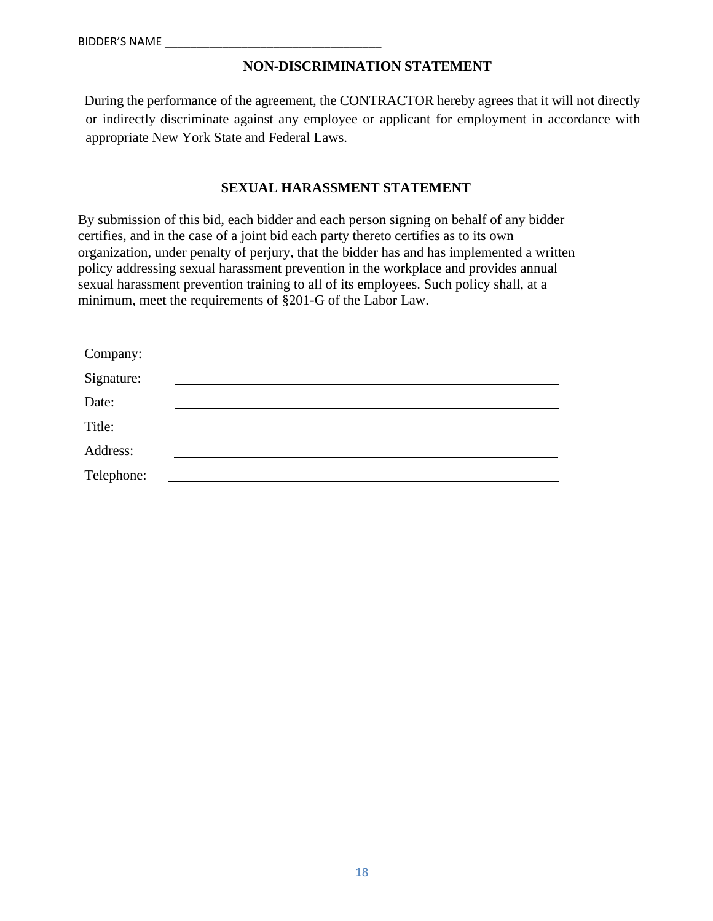# **NON-DISCRIMINATION STATEMENT**

During the performance of the agreement, the CONTRACTOR hereby agrees that it will not directly or indirectly discriminate against any employee or applicant for employment in accordance with appropriate New York State and Federal Laws.

#### **SEXUAL HARASSMENT STATEMENT**

By submission of this bid, each bidder and each person signing on behalf of any bidder certifies, and in the case of a joint bid each party thereto certifies as to its own organization, under penalty of perjury, that the bidder has and has implemented a written policy addressing sexual harassment prevention in the workplace and provides annual sexual harassment prevention training to all of its employees. Such policy shall, at a minimum, meet the requirements of §201-G of the Labor Law.

| Company:   |  |  |
|------------|--|--|
| Signature: |  |  |
| Date:      |  |  |
| Title:     |  |  |
| Address:   |  |  |
| Telephone: |  |  |
|            |  |  |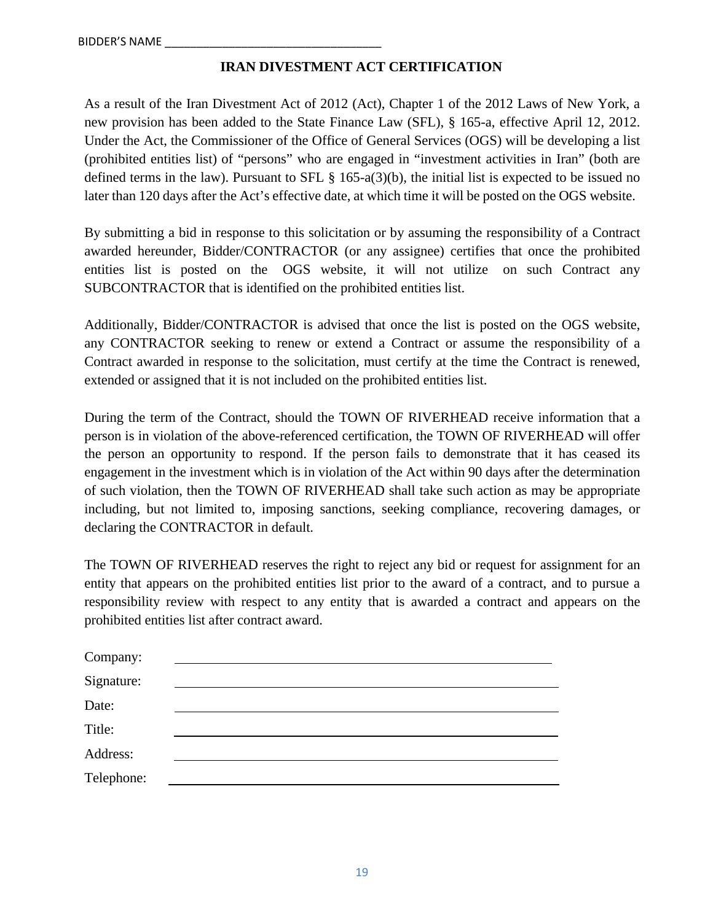# **IRAN DIVESTMENT ACT CERTIFICATION**

As a result of the Iran Divestment Act of 2012 (Act), Chapter 1 of the 2012 Laws of New York, a new provision has been added to the State Finance Law (SFL), § 165-a, effective April 12, 2012. Under the Act, the Commissioner of the Office of General Services (OGS) will be developing a list (prohibited entities list) of "persons" who are engaged in "investment activities in Iran" (both are defined terms in the law). Pursuant to SFL § 165-a(3)(b), the initial list is expected to be issued no later than 120 days after the Act's effective date, at which time it will be posted on the OGS website.

By submitting a bid in response to this solicitation or by assuming the responsibility of a Contract awarded hereunder, Bidder/CONTRACTOR (or any assignee) certifies that once the prohibited entities list is posted on the OGS website, it will not utilize on such Contract any SUBCONTRACTOR that is identified on the prohibited entities list.

Additionally, Bidder/CONTRACTOR is advised that once the list is posted on the OGS website, any CONTRACTOR seeking to renew or extend a Contract or assume the responsibility of a Contract awarded in response to the solicitation, must certify at the time the Contract is renewed, extended or assigned that it is not included on the prohibited entities list.

During the term of the Contract, should the TOWN OF RIVERHEAD receive information that a person is in violation of the above-referenced certification, the TOWN OF RIVERHEAD will offer the person an opportunity to respond. If the person fails to demonstrate that it has ceased its engagement in the investment which is in violation of the Act within 90 days after the determination of such violation, then the TOWN OF RIVERHEAD shall take such action as may be appropriate including, but not limited to, imposing sanctions, seeking compliance, recovering damages, or declaring the CONTRACTOR in default.

The TOWN OF RIVERHEAD reserves the right to reject any bid or request for assignment for an entity that appears on the prohibited entities list prior to the award of a contract, and to pursue a responsibility review with respect to any entity that is awarded a contract and appears on the prohibited entities list after contract award.

| Company:   |  |  |
|------------|--|--|
| Signature: |  |  |
| Date:      |  |  |
| Title:     |  |  |
| Address:   |  |  |
| Telephone: |  |  |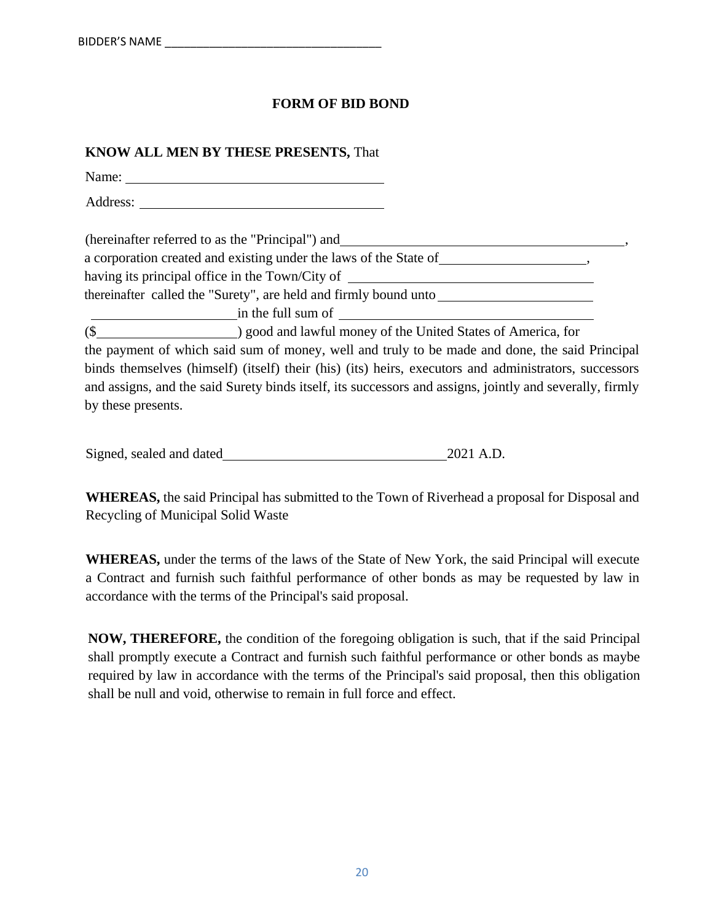# **FORM OF BID BOND**

# **KNOW ALL MEN BY THESE PRESENTS,** That Name: when the contract of the contract of the contract of the contract of the contract of the contract of the contract of the contract of the contract of the contract of the contract of the contract of the contract of the Address: (hereinafter referred to as the "Principal") and , a corporation created and existing under the laws of the State of , having its principal office in the Town/City of thereinafter called the "Surety", are held and firmly bound unto in the full sum of (\$ ) good and lawful money of the United States of America, for the payment of which said sum of money, well and truly to be made and done, the said Principal binds themselves (himself) (itself) their (his) (its) heirs, executors and administrators, successors and assigns, and the said Surety binds itself, its successors and assigns, jointly and severally, firmly by these presents.

| Signed, sealed and dated | 2021 A.D. |
|--------------------------|-----------|
|                          |           |

**WHEREAS,** the said Principal has submitted to the Town of Riverhead a proposal for Disposal and Recycling of Municipal Solid Waste

**WHEREAS,** under the terms of the laws of the State of New York, the said Principal will execute a Contract and furnish such faithful performance of other bonds as may be requested by law in accordance with the terms of the Principal's said proposal.

**NOW, THEREFORE,** the condition of the foregoing obligation is such, that if the said Principal shall promptly execute a Contract and furnish such faithful performance or other bonds as maybe required by law in accordance with the terms of the Principal's said proposal, then this obligation shall be null and void, otherwise to remain in full force and effect.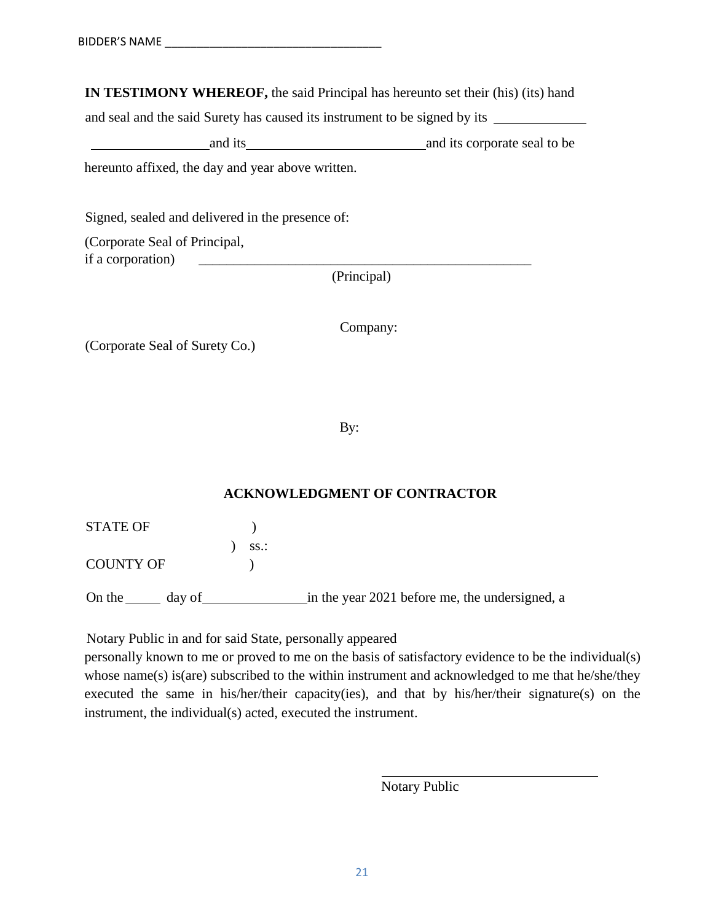**IN TESTIMONY WHEREOF,** the said Principal has hereunto set their (his) (its) hand

and seal and the said Surety has caused its instrument to be signed by its

and its and its corporate seal to be and its corporate seal to be hereunto affixed, the day and year above written.

Signed, sealed and delivered in the presence of:

(Corporate Seal of Principal, if a corporation)

(Principal)

Company:

(Corporate Seal of Surety Co.)

By:

# **ACKNOWLEDGMENT OF CONTRACTOR**

STATE OF  $\qquad \qquad$  )

) ss.: COUNTY OF  $\qquad$  )

On the day of in the year 2021 before me, the undersigned, a

Notary Public in and for said State, personally appeared

personally known to me or proved to me on the basis of satisfactory evidence to be the individual(s) whose name(s) is(are) subscribed to the within instrument and acknowledged to me that he/she/they executed the same in his/her/their capacity(ies), and that by his/her/their signature(s) on the instrument, the individual(s) acted, executed the instrument.

Notary Public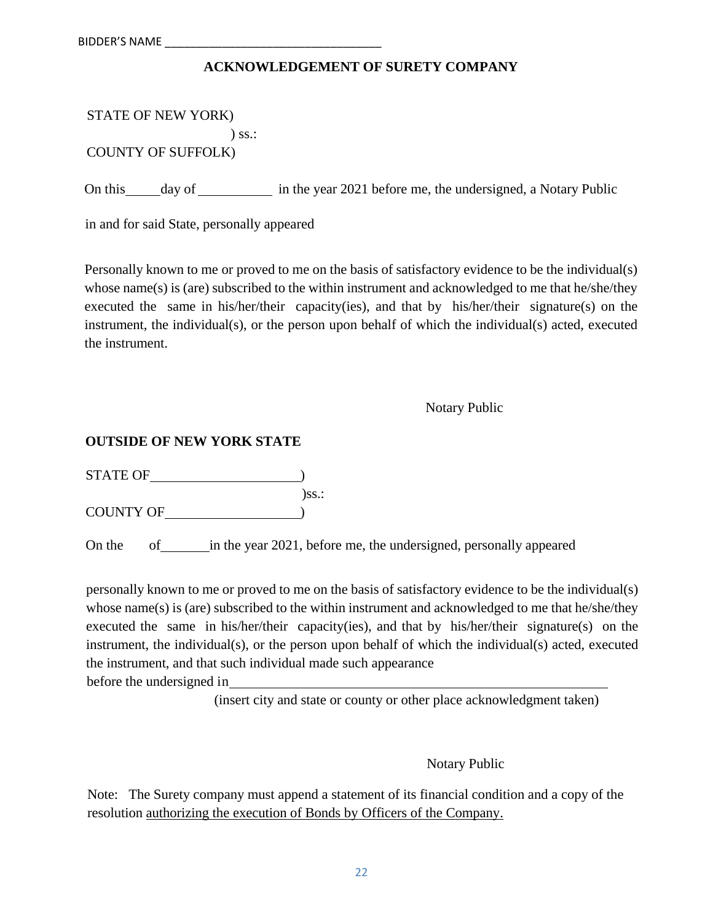# **ACKNOWLEDGEMENT OF SURETY COMPANY**

| STATE OF NEW YORK) |          |
|--------------------|----------|
|                    | $)$ ss.: |

COUNTY OF SUFFOLK)

On this day of in the year 2021 before me, the undersigned, a Notary Public

in and for said State, personally appeared

Personally known to me or proved to me on the basis of satisfactory evidence to be the individual(s) whose name(s) is (are) subscribed to the within instrument and acknowledged to me that he/she/they executed the same in his/her/their capacity(ies), and that by his/her/their signature(s) on the instrument, the individual(s), or the person upon behalf of which the individual(s) acted, executed the instrument.

Notary Public

# **OUTSIDE OF NEW YORK STATE**

STATE OF  $\qquad \qquad$  )  $)$ ss.:

COUNTY OF )

On the of in the year 2021, before me, the undersigned, personally appeared

personally known to me or proved to me on the basis of satisfactory evidence to be the individual(s) whose name(s) is (are) subscribed to the within instrument and acknowledged to me that he/she/they executed the same in his/her/their capacity(ies), and that by his/her/their signature(s) on the instrument, the individual(s), or the person upon behalf of which the individual(s) acted, executed the instrument, and that such individual made such appearance

before the undersigned in

(insert city and state or county or other place acknowledgment taken)

Notary Public

Note: The Surety company must append a statement of its financial condition and a copy of the resolution authorizing the execution of Bonds by Officers of the Company.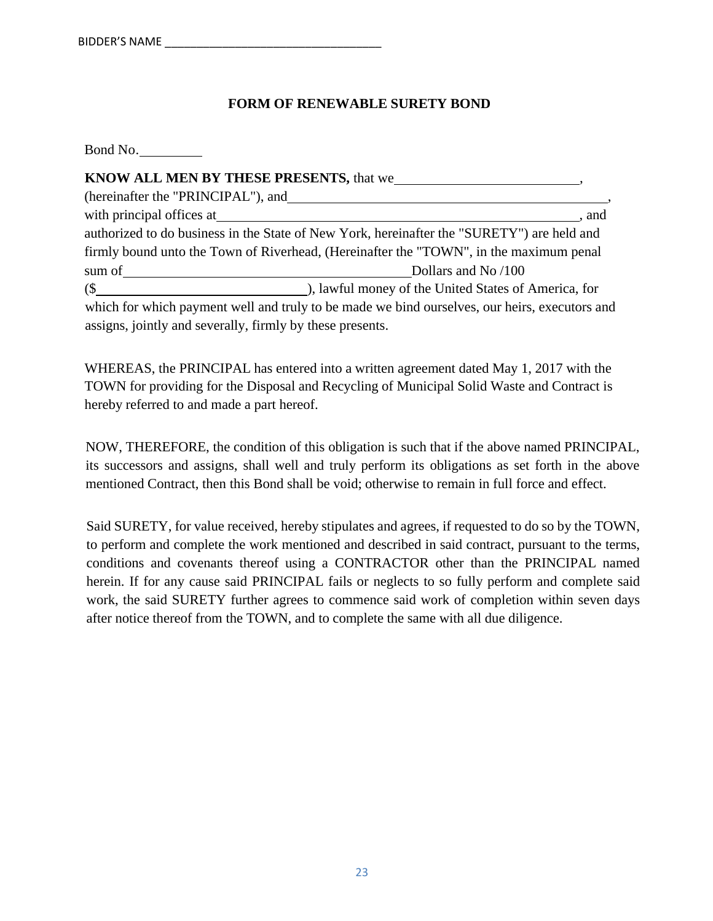# **FORM OF RENEWABLE SURETY BOND**

| Bond No.                                                  |                                                                                               |
|-----------------------------------------------------------|-----------------------------------------------------------------------------------------------|
|                                                           |                                                                                               |
|                                                           |                                                                                               |
|                                                           | . and                                                                                         |
|                                                           | authorized to do business in the State of New York, hereinafter the "SURETY") are held and    |
|                                                           | firmly bound unto the Town of Riverhead, (Hereinafter the "TOWN", in the maximum penal        |
|                                                           | Dollars and No /100                                                                           |
|                                                           |                                                                                               |
|                                                           | which for which payment well and truly to be made we bind ourselves, our heirs, executors and |
| assigns, jointly and severally, firmly by these presents. |                                                                                               |

WHEREAS, the PRINCIPAL has entered into a written agreement dated May 1, 2017 with the TOWN for providing for the Disposal and Recycling of Municipal Solid Waste and Contract is hereby referred to and made a part hereof.

NOW, THEREFORE, the condition of this obligation is such that if the above named PRINCIPAL, its successors and assigns, shall well and truly perform its obligations as set forth in the above mentioned Contract, then this Bond shall be void; otherwise to remain in full force and effect.

Said SURETY, for value received, hereby stipulates and agrees, if requested to do so by the TOWN, to perform and complete the work mentioned and described in said contract, pursuant to the terms, conditions and covenants thereof using a CONTRACTOR other than the PRINCIPAL named herein. If for any cause said PRINCIPAL fails or neglects to so fully perform and complete said work, the said SURETY further agrees to commence said work of completion within seven days after notice thereof from the TOWN, and to complete the same with all due diligence.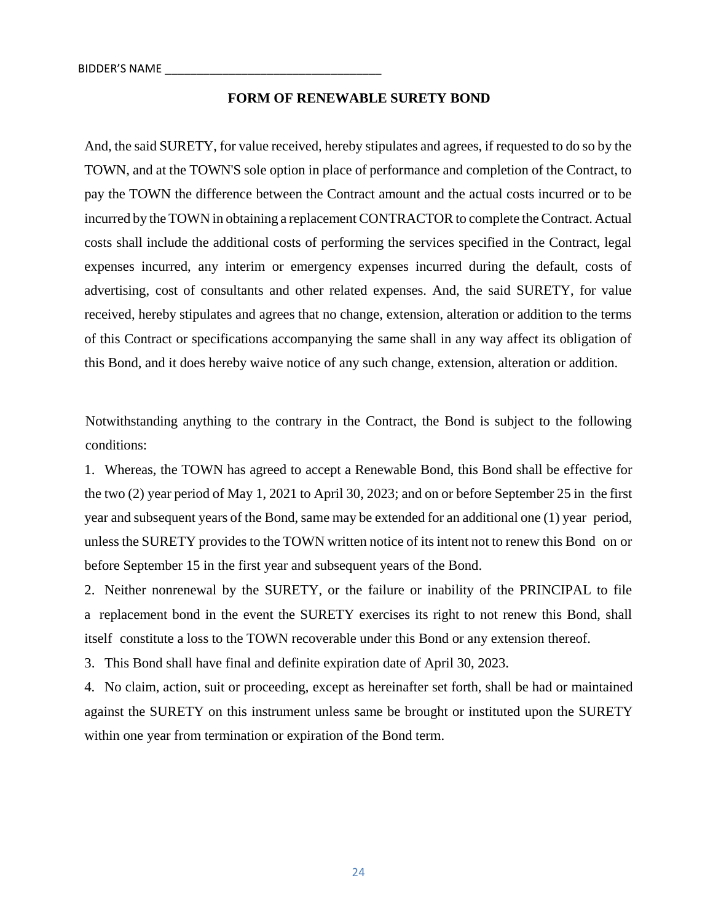#### **FORM OF RENEWABLE SURETY BOND**

And, the said SURETY, for value received, hereby stipulates and agrees, if requested to do so by the TOWN, and at the TOWN'S sole option in place of performance and completion of the Contract, to pay the TOWN the difference between the Contract amount and the actual costs incurred or to be incurred by the TOWN in obtaining a replacement CONTRACTOR to complete the Contract. Actual costs shall include the additional costs of performing the services specified in the Contract, legal expenses incurred, any interim or emergency expenses incurred during the default, costs of advertising, cost of consultants and other related expenses. And, the said SURETY, for value received, hereby stipulates and agrees that no change, extension, alteration or addition to the terms of this Contract or specifications accompanying the same shall in any way affect its obligation of this Bond, and it does hereby waive notice of any such change, extension, alteration or addition.

Notwithstanding anything to the contrary in the Contract, the Bond is subject to the following conditions:

1. Whereas, the TOWN has agreed to accept a Renewable Bond, this Bond shall be effective for the two (2) year period of May 1, 2021 to April 30, 2023; and on or before September 25 in the first year and subsequent years of the Bond, same may be extended for an additional one (1) year period, unless the SURETY provides to the TOWN written notice of its intent not to renew this Bond on or before September 15 in the first year and subsequent years of the Bond.

2. Neither nonrenewal by the SURETY, or the failure or inability of the PRINCIPAL to file a replacement bond in the event the SURETY exercises its right to not renew this Bond, shall itself constitute a loss to the TOWN recoverable under this Bond or any extension thereof.

3. This Bond shall have final and definite expiration date of April 30, 2023.

4. No claim, action, suit or proceeding, except as hereinafter set forth, shall be had or maintained against the SURETY on this instrument unless same be brought or instituted upon the SURETY within one year from termination or expiration of the Bond term.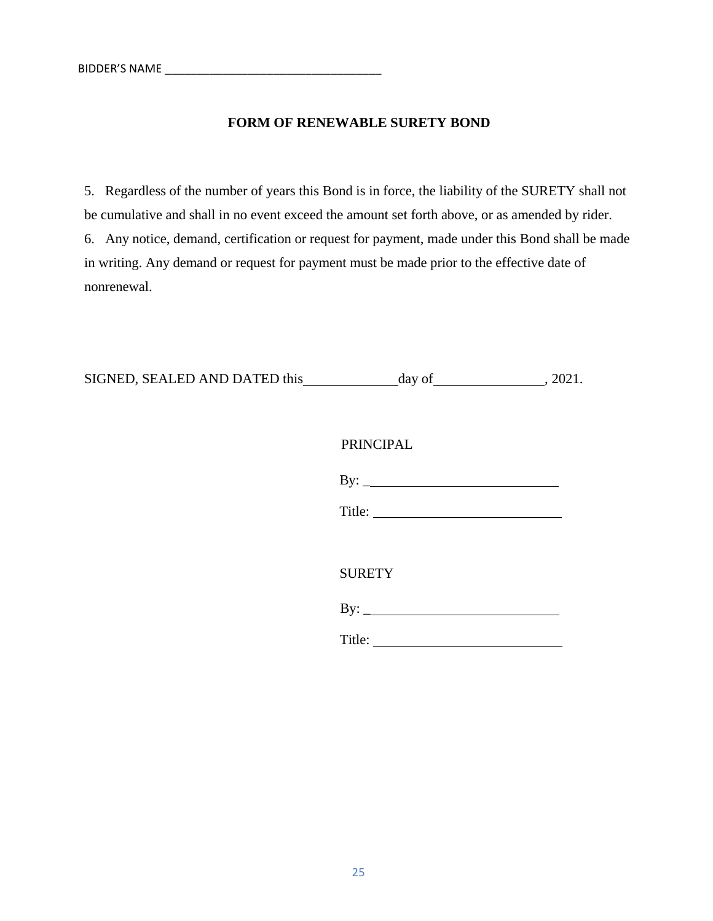#### **FORM OF RENEWABLE SURETY BOND**

5. Regardless of the number of years this Bond is in force, the liability of the SURETY shall not be cumulative and shall in no event exceed the amount set forth above, or as amended by rider. 6. Any notice, demand, certification or request for payment, made under this Bond shall be made in writing. Any demand or request for payment must be made prior to the effective date of nonrenewal.

| SIGNED, SEALED AND DATED this day of |                  | , 2021. |
|--------------------------------------|------------------|---------|
|                                      |                  |         |
|                                      | <b>PRINCIPAL</b> |         |
|                                      |                  |         |
|                                      |                  |         |
|                                      |                  |         |
|                                      | <b>SURETY</b>    |         |
|                                      | $\mathbf{By:}$   |         |
|                                      | Title:           |         |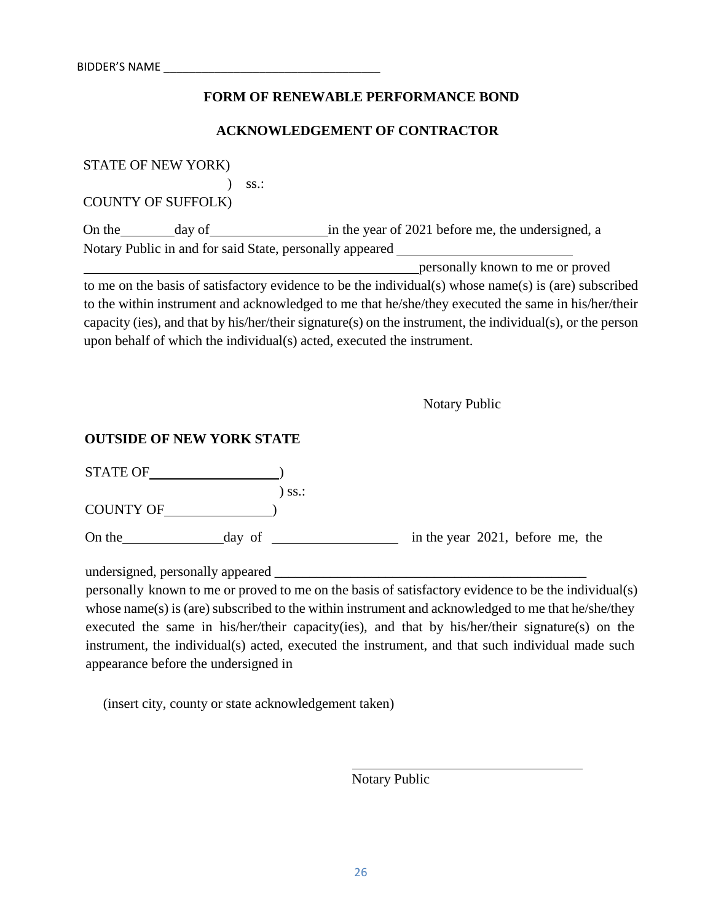#### **FORM OF RENEWABLE PERFORMANCE BOND**

#### **ACKNOWLEDGEMENT OF CONTRACTOR**

STATE OF NEW YORK)

) ss.:

COUNTY OF SUFFOLK)

On the day of in the year of 2021 before me, the undersigned, a Notary Public in and for said State, personally appeared

personally known to me or proved

to me on the basis of satisfactory evidence to be the individual(s) whose name(s) is (are) subscribed to the within instrument and acknowledged to me that he/she/they executed the same in his/her/their capacity (ies), and that by his/her/their signature(s) on the instrument, the individual(s), or the person upon behalf of which the individual(s) acted, executed the instrument.

Notary Public

#### **OUTSIDE OF NEW YORK STATE**

| <b>STATE OF</b>  |          |                                  |  |  |
|------------------|----------|----------------------------------|--|--|
|                  | $)$ SS.: |                                  |  |  |
| <b>COUNTY OF</b> |          |                                  |  |  |
| On the           | day of   | in the year 2021, before me, the |  |  |

undersigned, personally appeared

personally known to me or proved to me on the basis of satisfactory evidence to be the individual(s) whose name(s) is (are) subscribed to the within instrument and acknowledged to me that he/she/they executed the same in his/her/their capacity(ies), and that by his/her/their signature(s) on the instrument, the individual(s) acted, executed the instrument, and that such individual made such appearance before the undersigned in

(insert city, county or state acknowledgement taken)

Notary Public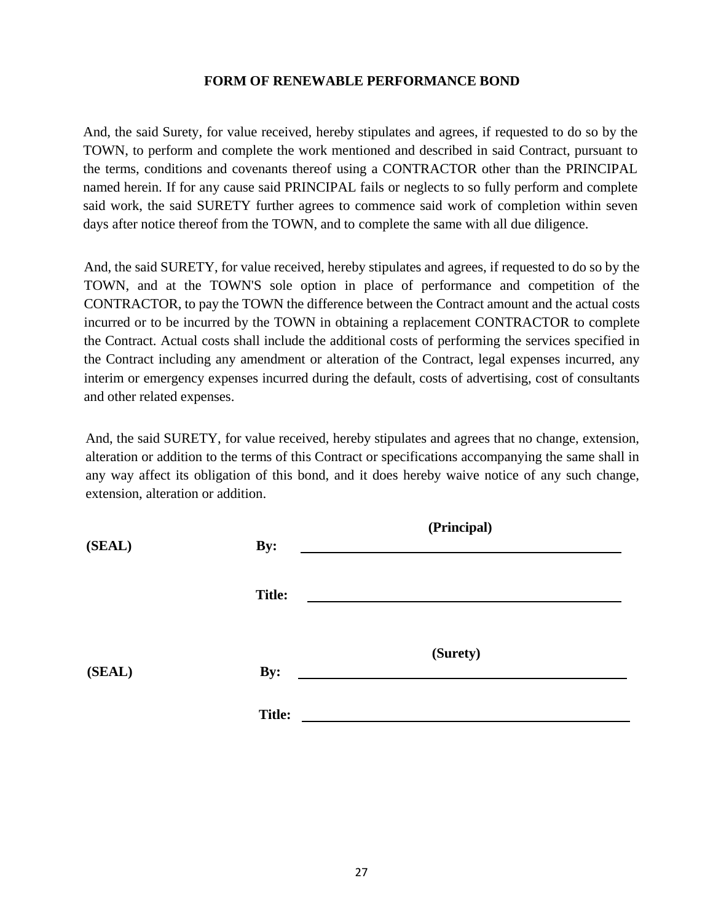#### **FORM OF RENEWABLE PERFORMANCE BOND**

And, the said Surety, for value received, hereby stipulates and agrees, if requested to do so by the TOWN, to perform and complete the work mentioned and described in said Contract, pursuant to the terms, conditions and covenants thereof using a CONTRACTOR other than the PRINCIPAL named herein. If for any cause said PRINCIPAL fails or neglects to so fully perform and complete said work, the said SURETY further agrees to commence said work of completion within seven days after notice thereof from the TOWN, and to complete the same with all due diligence.

And, the said SURETY, for value received, hereby stipulates and agrees, if requested to do so by the TOWN, and at the TOWN'S sole option in place of performance and competition of the CONTRACTOR, to pay the TOWN the difference between the Contract amount and the actual costs incurred or to be incurred by the TOWN in obtaining a replacement CONTRACTOR to complete the Contract. Actual costs shall include the additional costs of performing the services specified in the Contract including any amendment or alteration of the Contract, legal expenses incurred, any interim or emergency expenses incurred during the default, costs of advertising, cost of consultants and other related expenses.

And, the said SURETY, for value received, hereby stipulates and agrees that no change, extension, alteration or addition to the terms of this Contract or specifications accompanying the same shall in any way affect its obligation of this bond, and it does hereby waive notice of any such change, extension, alteration or addition.

| (SEAL) | By:           | (Principal) |  |
|--------|---------------|-------------|--|
|        | <b>Title:</b> |             |  |
|        |               | (Surety)    |  |
| (SEAL) | By:           |             |  |
|        | <b>Title:</b> |             |  |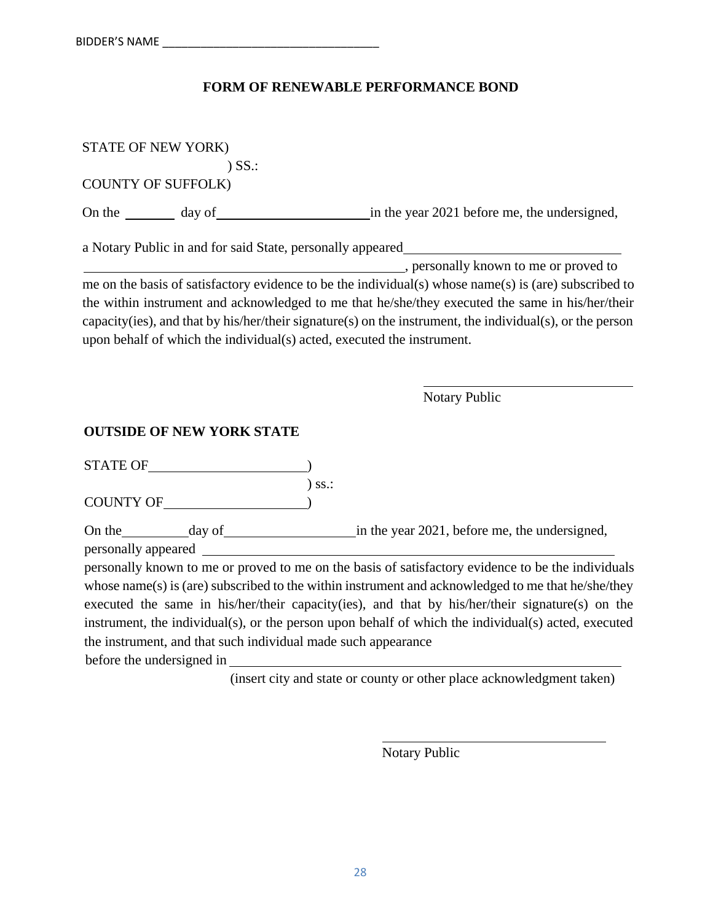# **FORM OF RENEWABLE PERFORMANCE BOND**

| STATE OF NEW YORK)                                                                                                                                                                                                                                                                                                                                  |                                                                                                                                                                                                                                                                                         |
|-----------------------------------------------------------------------------------------------------------------------------------------------------------------------------------------------------------------------------------------------------------------------------------------------------------------------------------------------------|-----------------------------------------------------------------------------------------------------------------------------------------------------------------------------------------------------------------------------------------------------------------------------------------|
| $)$ SS $\therefore$                                                                                                                                                                                                                                                                                                                                 |                                                                                                                                                                                                                                                                                         |
| <b>COUNTY OF SUFFOLK)</b>                                                                                                                                                                                                                                                                                                                           |                                                                                                                                                                                                                                                                                         |
|                                                                                                                                                                                                                                                                                                                                                     |                                                                                                                                                                                                                                                                                         |
|                                                                                                                                                                                                                                                                                                                                                     | a Notary Public in and for said State, personally appeared_                                                                                                                                                                                                                             |
|                                                                                                                                                                                                                                                                                                                                                     |                                                                                                                                                                                                                                                                                         |
|                                                                                                                                                                                                                                                                                                                                                     | me on the basis of satisfactory evidence to be the individual(s) whose name(s) is (are) subscribed to                                                                                                                                                                                   |
|                                                                                                                                                                                                                                                                                                                                                     | the within instrument and acknowledged to me that he/she/they executed the same in his/her/their<br>capacity(ies), and that by his/her/their signature(s) on the instrument, the individual(s), or the person<br>upon behalf of which the individual(s) acted, executed the instrument. |
|                                                                                                                                                                                                                                                                                                                                                     | <b>Notary Public</b>                                                                                                                                                                                                                                                                    |
| <b>OUTSIDE OF NEW YORK STATE</b>                                                                                                                                                                                                                                                                                                                    |                                                                                                                                                                                                                                                                                         |
| STATE OF                                                                                                                                                                                                                                                                                                                                            |                                                                                                                                                                                                                                                                                         |
| $\begin{picture}(150,10) \put(0,0){\line(1,0){100}} \put(0,0){\line(1,0){100}} \put(0,0){\line(1,0){100}} \put(0,0){\line(1,0){100}} \put(0,0){\line(1,0){100}} \put(0,0){\line(1,0){100}} \put(0,0){\line(1,0){100}} \put(0,0){\line(1,0){100}} \put(0,0){\line(1,0){100}} \put(0,0){\line(1,0){100}} \put(0,0){\line(1,0){100}} \put(0,0){\line($ | $)$ ss.:                                                                                                                                                                                                                                                                                |
|                                                                                                                                                                                                                                                                                                                                                     |                                                                                                                                                                                                                                                                                         |
|                                                                                                                                                                                                                                                                                                                                                     |                                                                                                                                                                                                                                                                                         |
|                                                                                                                                                                                                                                                                                                                                                     |                                                                                                                                                                                                                                                                                         |
|                                                                                                                                                                                                                                                                                                                                                     | personally known to me or proved to me on the basis of satisfactory evidence to be the individuals                                                                                                                                                                                      |
|                                                                                                                                                                                                                                                                                                                                                     | whose name(s) is (are) subscribed to the within instrument and acknowledged to me that he/she/they                                                                                                                                                                                      |
|                                                                                                                                                                                                                                                                                                                                                     | executed the same in his/her/their capacity(ies), and that by his/her/their signature(s) on the                                                                                                                                                                                         |
|                                                                                                                                                                                                                                                                                                                                                     | instrument, the individual(s), or the person upon behalf of which the individual(s) acted, executed                                                                                                                                                                                     |

before the undersigned in

the instrument, and that such individual made such appearance

(insert city and state or county or other place acknowledgment taken)

Notary Public